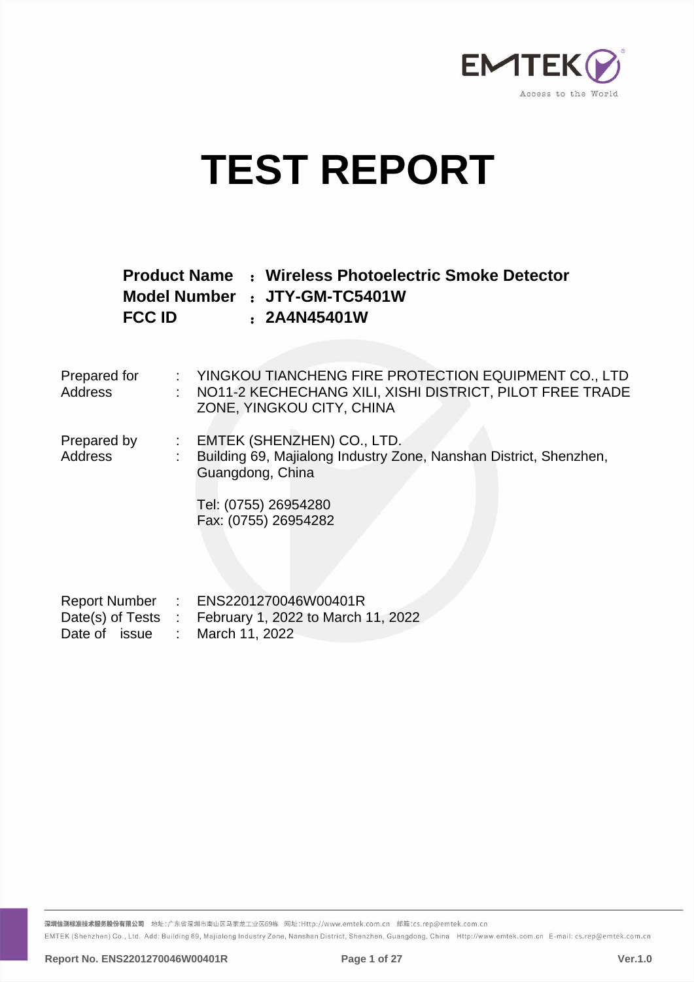

# **TEST REPORT**

|               | <b>Product Name : Wireless Photoelectric Smoke Detector</b> |
|---------------|-------------------------------------------------------------|
|               | Model Number : JTY-GM-TC5401W                               |
| <b>FCC ID</b> | : 2A4N45401W                                                |

| Prepared for<br>Address | : YINGKOU TIANCHENG FIRE PROTECTION EQUIPMENT CO., LTD<br>: NO11-2 KECHECHANG XILI, XISHI DISTRICT, PILOT FREE TRADE<br>ZONE, YINGKOU CITY, CHINA                     |
|-------------------------|-----------------------------------------------------------------------------------------------------------------------------------------------------------------------|
| Prepared by<br>Address  | : EMTEK (SHENZHEN) CO., LTD.<br>Building 69, Majialong Industry Zone, Nanshan District, Shenzhen,<br>Guangdong, China<br>Tel: (0755) 26954280<br>Fax: (0755) 26954282 |
| Date of issue           | Report Number : ENS2201270046W00401R<br>Date(s) of Tests : February 1, 2022 to March 11, 2022<br>March 11, 2022                                                       |

深圳信测标准技术服务股份有限公司 地址:广东省深圳市南山区马家龙工业区69栋 网址:Http://www.emtek.com.cn 邮箱:cs.rep@emtek.com.cn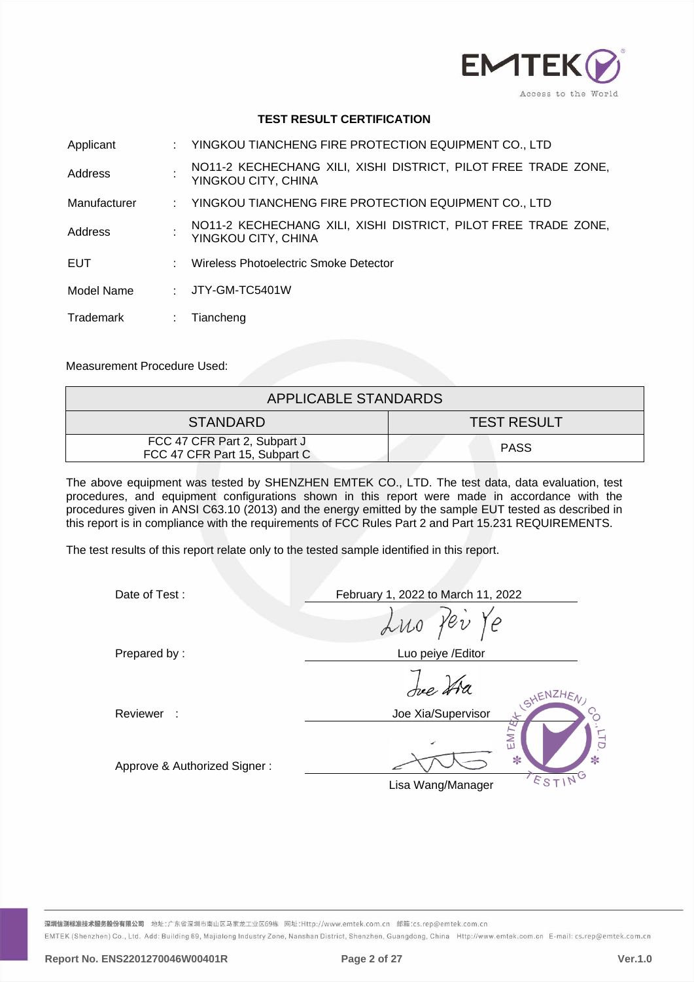

## **TEST RESULT CERTIFICATION**

| Applicant    |     | : YINGKOU TIANCHENG FIRE PROTECTION EQUIPMENT CO., LTD                                |
|--------------|-----|---------------------------------------------------------------------------------------|
| Address      |     | NO11-2 KECHECHANG XILI, XISHI DISTRICT, PILOT FREE TRADE ZONE,<br>YINGKOU CITY, CHINA |
| Manufacturer |     | : YINGKOU TIANCHENG FIRE PROTECTION EQUIPMENT CO., LTD                                |
| Address      |     | NO11-2 KECHECHANG XILI, XISHI DISTRICT, PILOT FREE TRADE ZONE,<br>YINGKOU CITY, CHINA |
| <b>EUT</b>   | × 1 | Wireless Photoelectric Smoke Detector                                                 |
| Model Name   | t.  | JTY-GM-TC5401W                                                                        |
| Trademark    |     | Tiancheng                                                                             |

Measurement Procedure Used:

| APPLICABLE STANDARDS                                          |                    |  |  |  |  |
|---------------------------------------------------------------|--------------------|--|--|--|--|
| <b>STANDARD</b>                                               | <b>TEST RESULT</b> |  |  |  |  |
| FCC 47 CFR Part 2, Subpart J<br>FCC 47 CFR Part 15, Subpart C | <b>PASS</b>        |  |  |  |  |

The above equipment was tested by SHENZHEN EMTEK CO., LTD. The test data, data evaluation, test procedures, and equipment configurations shown in this report were made in accordance with the procedures given in ANSI C63.10 (2013) and the energy emitted by the sample EUT tested as described in this report is in compliance with the requirements of FCC Rules Part 2 and Part 15.231 REQUIREMENTS.

The test results of this report relate only to the tested sample identified in this report.

| Date of Test:                | February 1, 2022 to March 11, 2022      |  |  |  |  |  |
|------------------------------|-----------------------------------------|--|--|--|--|--|
|                              | Luo Per Ye                              |  |  |  |  |  |
| Prepared by:                 | Luo peiye / Editor                      |  |  |  |  |  |
|                              | Jue tra<br>SHENZHEN,                    |  |  |  |  |  |
| Reviewer :                   | Joe Xia/Supervisor                      |  |  |  |  |  |
| Approve & Authorized Signer: | EMT<br>$\ast$<br>∗<br>Lisa Wang/Manager |  |  |  |  |  |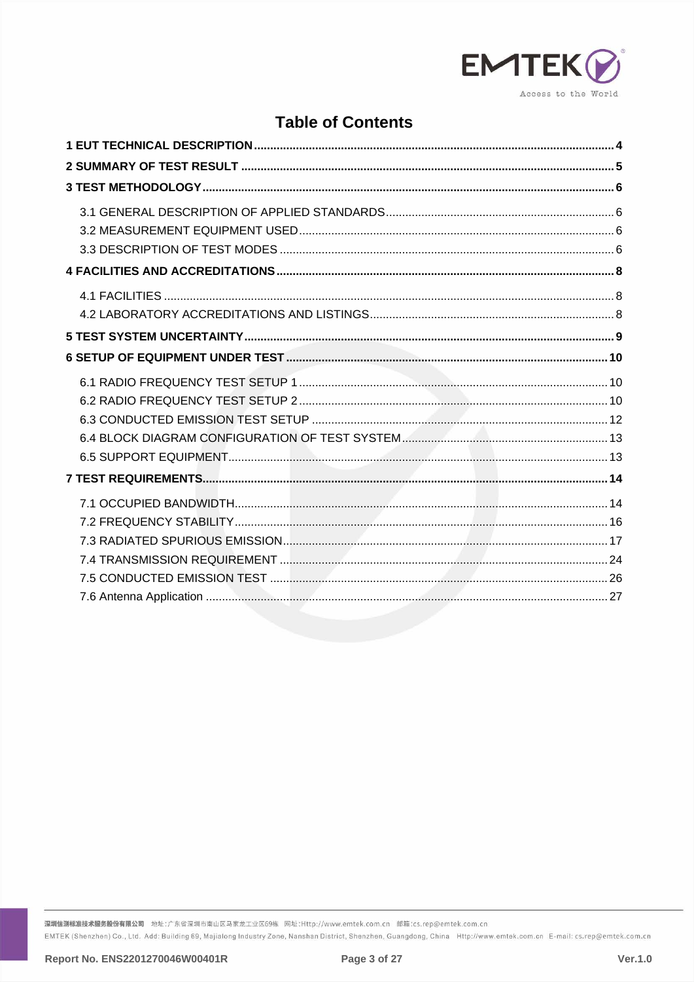

# **Table of Contents**

深圳信测标准技术服务股份有限公司 地址:广东省深圳市南山区马家龙工业区69栋 网址:Http://www.emtek.com.cn 邮箱:cs.rep@emtek.com.cn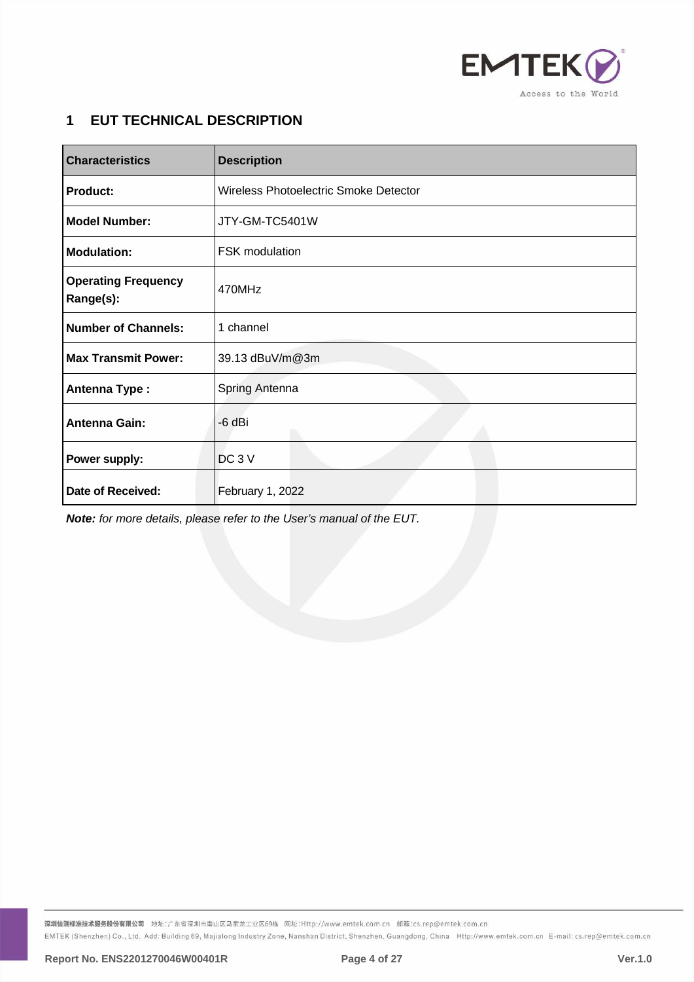

# <span id="page-3-0"></span>**1 EUT TECHNICAL DESCRIPTION**

| <b>Characteristics</b>                  | <b>Description</b>                    |  |  |  |
|-----------------------------------------|---------------------------------------|--|--|--|
| <b>Product:</b>                         | Wireless Photoelectric Smoke Detector |  |  |  |
| <b>Model Number:</b>                    | JTY-GM-TC5401W                        |  |  |  |
| <b>Modulation:</b>                      | <b>FSK</b> modulation                 |  |  |  |
| <b>Operating Frequency</b><br>Range(s): | 470MHz                                |  |  |  |
| Number of Channels:                     | 1 channel                             |  |  |  |
| <b>Max Transmit Power:</b>              | 39.13 dBuV/m@3m                       |  |  |  |
| <b>Antenna Type:</b>                    | Spring Antenna                        |  |  |  |
| <b>Antenna Gain:</b>                    | -6 dBi                                |  |  |  |
| Power supply:                           | DC <sub>3</sub> V                     |  |  |  |
| Date of Received:                       | February 1, 2022                      |  |  |  |

*Note: for more details, please refer to the User's manual of the EUT.*

深圳信测标准技术服务股份有限公司 地址:广东省深圳市南山区马家龙工业区69栋 网址:Http://www.emtek.com.cn 邮箱:cs.rep@emtek.com.cn EMTEK (Shenzhen) Co., Ltd. Add: Building 69, Majialong Industry Zone, Nanshan District, Shenzhen, Guangdong, China Http://www.emtek.com.cn E-mail: cs.rep@emtek.com.cn

**Report No. ENS2201270046W00401R Page 4 of 27 Ver.1.0**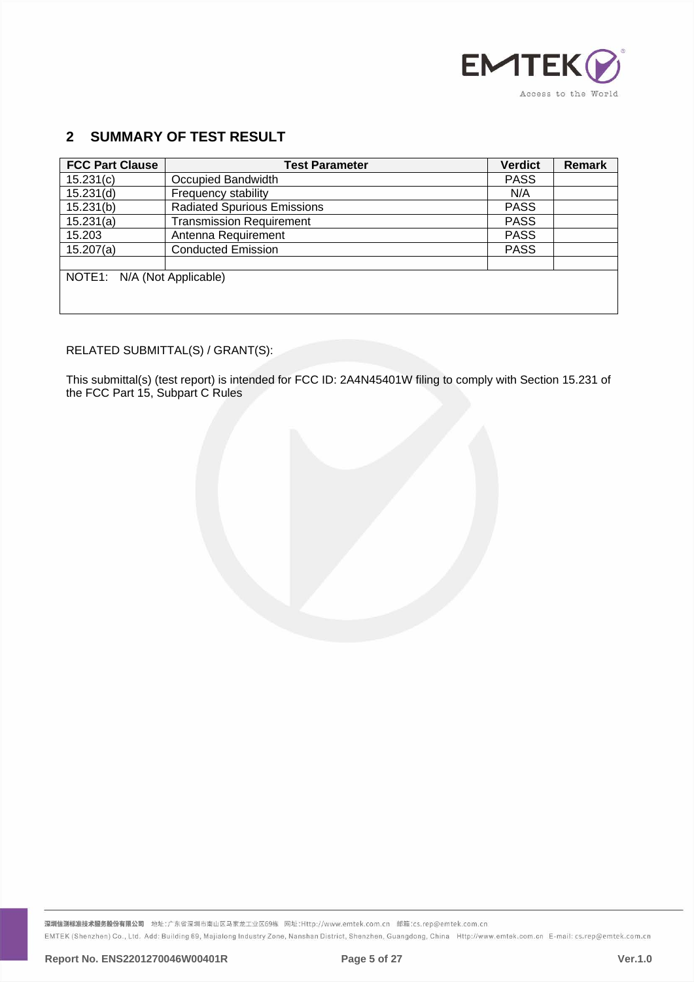

# <span id="page-4-0"></span>**2 SUMMARY OF TEST RESULT**

| <b>FCC Part Clause</b>      | <b>Test Parameter</b>              | <b>Verdict</b> | <b>Remark</b> |
|-----------------------------|------------------------------------|----------------|---------------|
| 15.231(c)                   | Occupied Bandwidth                 | <b>PASS</b>    |               |
| 15.231(d)                   | Frequency stability                | N/A            |               |
| 15.231(b)                   | <b>Radiated Spurious Emissions</b> | <b>PASS</b>    |               |
| 15.231(a)                   | <b>Transmission Requirement</b>    | <b>PASS</b>    |               |
| 15.203                      | Antenna Requirement                | <b>PASS</b>    |               |
| 15.207(a)                   | <b>Conducted Emission</b>          | <b>PASS</b>    |               |
|                             |                                    |                |               |
| NOTE1: N/A (Not Applicable) |                                    |                |               |
|                             |                                    |                |               |
|                             |                                    |                |               |

# RELATED SUBMITTAL(S) / GRANT(S):

This submittal(s) (test report) is intended for FCC ID: 2A4N45401W filing to comply with Section 15.231 of the FCC Part 15, Subpart C Rules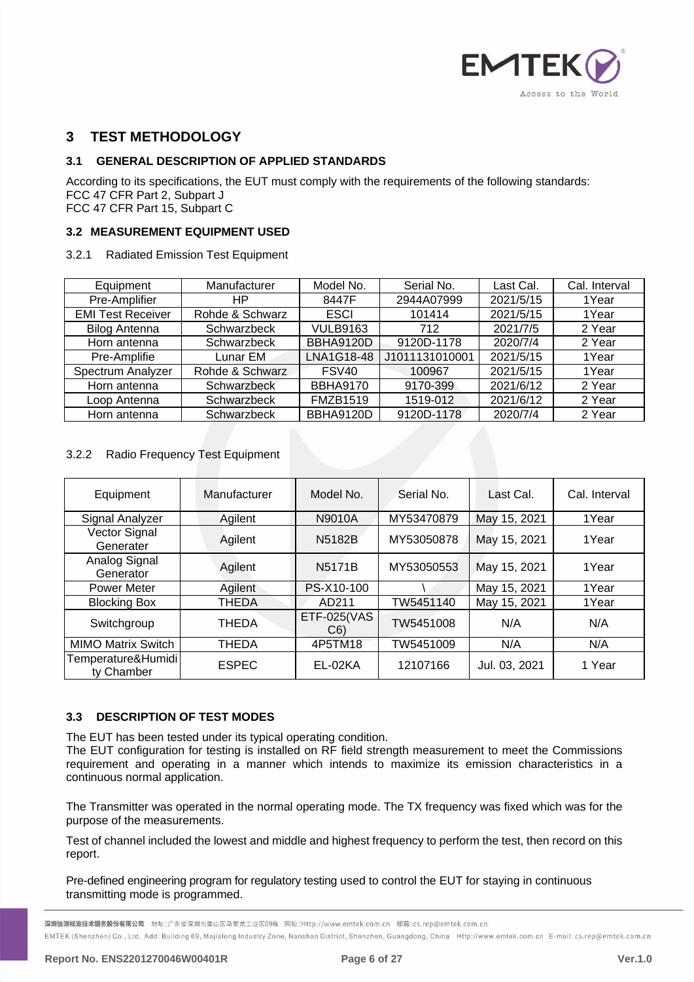

# <span id="page-5-0"></span>**3 TEST METHODOLOGY**

# <span id="page-5-1"></span>**3.1 GENERAL DESCRIPTION OF APPLIED STANDARDS**

According to its specifications, the EUT must comply with the requirements of the following standards: FCC 47 CFR Part 2, Subpart J FCC 47 CFR Part 15, Subpart C

# <span id="page-5-2"></span>**3.2 MEASUREMENT EQUIPMENT USED**

#### 3.2.1 Radiated Emission Test Equipment

| Equipment                | Manufacturer    | Model No.         | Serial No.     | Last Cal. | Cal. Interval |
|--------------------------|-----------------|-------------------|----------------|-----------|---------------|
| Pre-Amplifier            | HP              | 8447F             | 2944A07999     | 2021/5/15 | 1Year         |
| <b>EMI Test Receiver</b> | Rohde & Schwarz | <b>ESCI</b>       | 101414         | 2021/5/15 | 1Year         |
| <b>Bilog Antenna</b>     | Schwarzbeck     | <b>VULB9163</b>   | 712            | 2021/7/5  | 2 Year        |
| Horn antenna             | Schwarzbeck     | <b>BBHA9120D</b>  | 9120D-1178     | 2020/7/4  | 2 Year        |
| Pre-Amplifie             | Lunar EM.       | LNA1G18-48        | J1011131010001 | 2021/5/15 | 1Year         |
| Spectrum Analyzer        | Rohde & Schwarz | FSV <sub>40</sub> | 100967         | 2021/5/15 | 1Year         |
| Horn antenna             | Schwarzbeck     | <b>BBHA9170</b>   | 9170-399       | 2021/6/12 | 2 Year        |
| Loop Antenna             | Schwarzbeck     | <b>FMZB1519</b>   | 1519-012       | 2021/6/12 | 2 Year        |
| Horn antenna             | Schwarzbeck     | <b>BBHA9120D</b>  | 9120D-1178     | 2020/7/4  | 2 Year        |

# 3.2.2 Radio Frequency Test Equipment

| Equipment                        | Manufacturer | Model No.                | Serial No. | Last Cal.     | Cal. Interval |
|----------------------------------|--------------|--------------------------|------------|---------------|---------------|
| Signal Analyzer                  | Agilent      | N9010A                   | MY53470879 | May 15, 2021  | 1Year         |
| Vector Signal<br>Generater       | Agilent      | N5182B                   | MY53050878 | May 15, 2021  | 1Year         |
| Analog Signal<br>Generator       | Agilent      | <b>N5171B</b>            | MY53050553 | May 15, 2021  | 1Year         |
| <b>Power Meter</b>               | Agilent      | PS-X10-100               |            | May 15, 2021  | 1Year         |
| <b>Blocking Box</b>              | <b>THEDA</b> | AD211                    | TW5451140  | May 15, 2021  | 1Year         |
| Switchgroup                      | THEDA        | <b>ETF-025(VAS</b><br>C6 | TW5451008  | N/A           | N/A           |
| <b>MIMO Matrix Switch</b>        | <b>THEDA</b> | 4P5TM18                  | TW5451009  | N/A           | N/A           |
| Temperature&Humidi<br>ty Chamber | <b>ESPEC</b> | EL-02KA                  | 12107166   | Jul. 03, 2021 | 1 Year        |

# <span id="page-5-3"></span>**3.3 DESCRIPTION OF TEST MODES**

The EUT has been tested under its typical operating condition.

The EUT configuration for testing is installed on RF field strength measurement to meet the Commissions requirement and operating in a manner which intends to maximize its emission characteristics in a continuous normal application.

The Transmitter was operated in the normal operating mode. The TX frequency was fixed which was for the purpose of the measurements.

Test of channel included the lowest and middle and highest frequency to perform the test, then record on this report.

Pre-defined engineering program for regulatory testing used to control the EUT for staying in continuous transmitting mode is programmed.

<mark>深圳信测标准技术服务股份有限公司</mark> 地址:广东省深圳市南山区马家龙工业区69栋 网址:Http://www.emtek.com.cn 邮箱:cs.rep@emtek.com.cn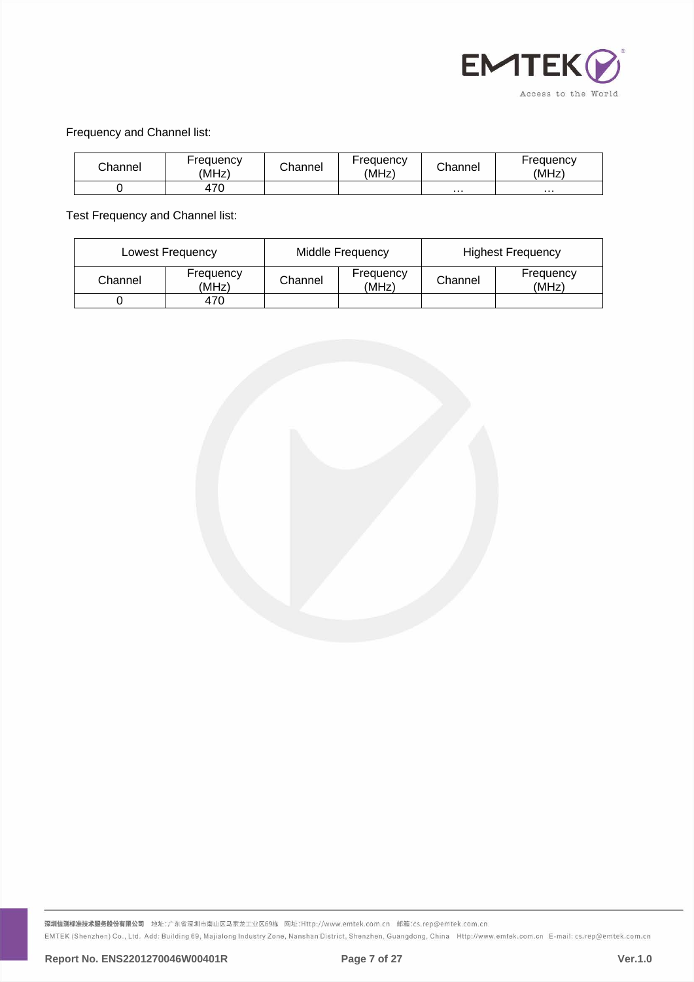

# Frequency and Channel list:

| Channel | Frequency<br>(MHz) | Channel | Frequency<br>(MHz) | Channel  | Frequency<br>(MHz) |
|---------|--------------------|---------|--------------------|----------|--------------------|
|         | 470                |         |                    | $\cdots$ | $\cdots$           |

Test Frequency and Channel list:

| Lowest Frequency |                    | Middle Frequency |                    | <b>Highest Frequency</b> |                    |
|------------------|--------------------|------------------|--------------------|--------------------------|--------------------|
| Channel          | Frequency<br>(MHz) | Channel          | Frequency<br>(MHz) | Channel                  | Frequency<br>(MHz) |
|                  | 470                |                  |                    |                          |                    |

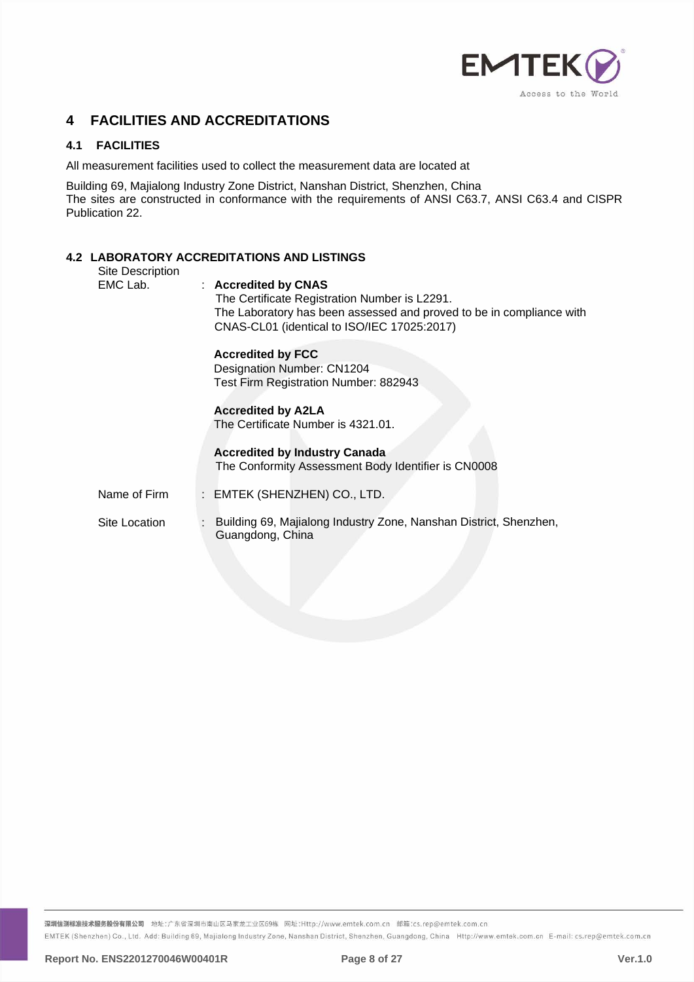

# <span id="page-7-0"></span>**4 FACILITIES AND ACCREDITATIONS**

# <span id="page-7-1"></span>**4.1 FACILITIES**

All measurement facilities used to collect the measurement data are located at

Building 69, Majialong Industry Zone District, Nanshan District, Shenzhen, China The sites are constructed in conformance with the requirements of ANSI C63.7, ANSI C63.4 and CISPR Publication 22.

# <span id="page-7-2"></span>**4.2 LABORATORY ACCREDITATIONS AND LISTINGS**

| Site Description | בשווווטו אוטויוואן וועדונטאי ו יוט ומשמ                                                                                                                                                      |
|------------------|----------------------------------------------------------------------------------------------------------------------------------------------------------------------------------------------|
| EMC Lab.         | : Accredited by CNAS<br>The Certificate Registration Number is L2291.<br>The Laboratory has been assessed and proved to be in compliance with<br>CNAS-CL01 (identical to ISO/IEC 17025:2017) |
|                  | <b>Accredited by FCC</b><br>Designation Number: CN1204<br>Test Firm Registration Number: 882943                                                                                              |
|                  | <b>Accredited by A2LA</b><br>The Certificate Number is 4321.01.                                                                                                                              |
|                  | <b>Accredited by Industry Canada</b><br>The Conformity Assessment Body Identifier is CN0008                                                                                                  |
| Name of Firm     | : EMTEK (SHENZHEN) CO., LTD.                                                                                                                                                                 |
| Site Location    | Building 69, Majialong Industry Zone, Nanshan District, Shenzhen,<br>÷<br>Guangdong, China                                                                                                   |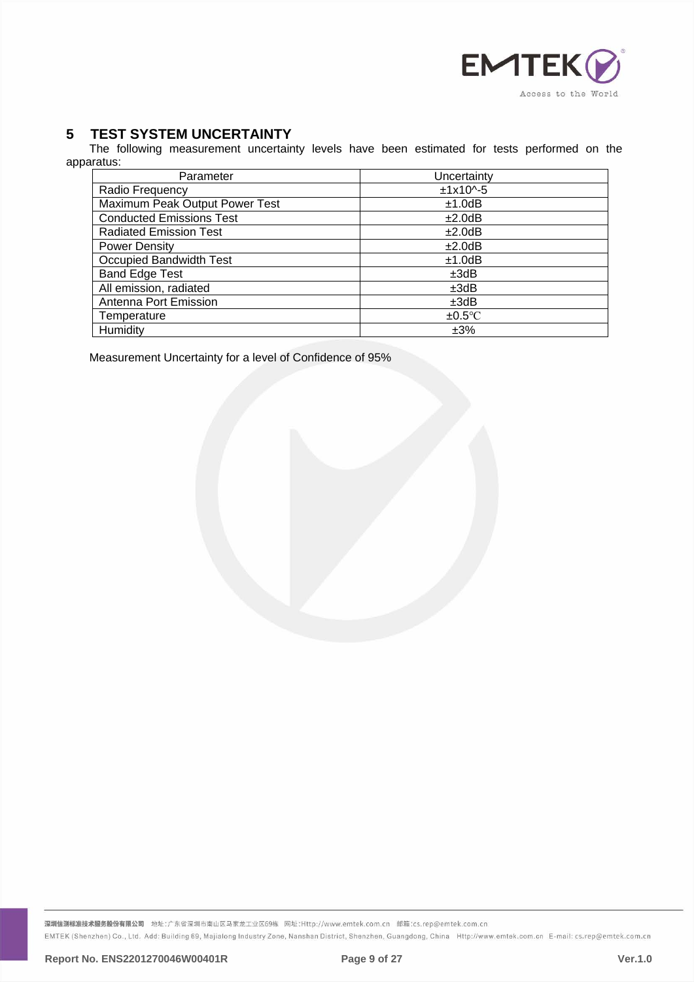

# <span id="page-8-0"></span>**5 TEST SYSTEM UNCERTAINTY**

The following measurement uncertainty levels have been estimated for tests performed on the apparatus:

| Parameter                       | Uncertainty    |
|---------------------------------|----------------|
| Radio Frequency                 | $±1x10^{(-5)}$ |
| Maximum Peak Output Power Test  | ±1.0dB         |
| <b>Conducted Emissions Test</b> | ±2.0dB         |
| <b>Radiated Emission Test</b>   | ±2.0dB         |
| <b>Power Density</b>            | ±2.0dB         |
| Occupied Bandwidth Test         | ±1.0dB         |
| <b>Band Edge Test</b>           | ±3dB           |
| All emission, radiated          | ±3dB           |
| Antenna Port Emission           | ±3dB           |
| Temperature                     | $\pm 0.5$ °C   |
| Humidity                        | ±3%            |

Measurement Uncertainty for a level of Confidence of 95%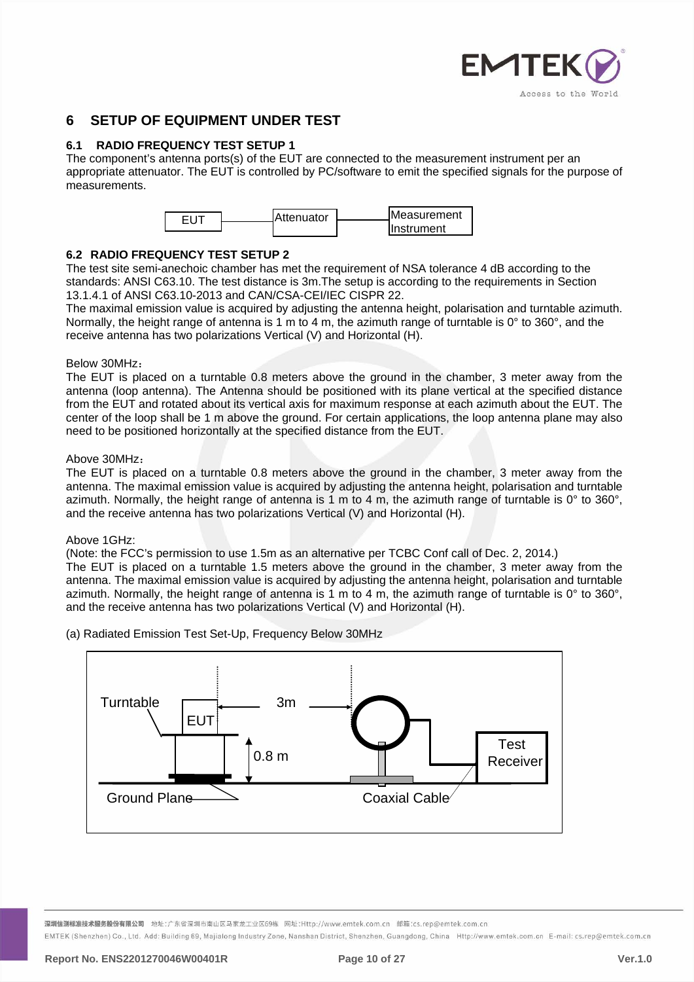

# <span id="page-9-0"></span>**6 SETUP OF EQUIPMENT UNDER TEST**

# <span id="page-9-1"></span>**6.1 RADIO FREQUENCY TEST SETUP 1**

The component's antenna ports(s) of the EUT are connected to the measurement instrument per an appropriate attenuator. The EUT is controlled by PC/software to emit the specified signals for the purpose of measurements.



# <span id="page-9-2"></span>**6.2 RADIO FREQUENCY TEST SETUP 2**

The test site semi-anechoic chamber has met the requirement of NSA tolerance 4 dB according to the standards: ANSI C63.10. The test distance is 3m.The setup is according to the requirements in Section 13.1.4.1 of ANSI C63.10-2013 and CAN/CSA-CEI/IEC CISPR 22.

The maximal emission value is acquired by adjusting the antenna height, polarisation and turntable azimuth. Normally, the height range of antenna is 1 m to 4 m, the azimuth range of turntable is 0° to 360°, and the receive antenna has two polarizations Vertical (V) and Horizontal (H).

#### Below 30MHz:

The EUT is placed on a turntable 0.8 meters above the ground in the chamber, 3 meter away from the antenna (loop antenna). The Antenna should be positioned with its plane vertical at the specified distance from the EUT and rotated about its vertical axis for maximum response at each azimuth about the EUT. The center of the loop shall be 1 m above the ground. For certain applications, the loop antenna plane may also need to be positioned horizontally at the specified distance from the EUT.

# Above 30MHz:

The EUT is placed on a turntable 0.8 meters above the ground in the chamber, 3 meter away from the antenna. The maximal emission value is acquired by adjusting the antenna height, polarisation and turntable azimuth. Normally, the height range of antenna is 1 m to 4 m, the azimuth range of turntable is 0° to 360°, and the receive antenna has two polarizations Vertical (V) and Horizontal (H).

# Above 1GHz:

(Note: the FCC's permission to use 1.5m as an alternative per TCBC Conf call of Dec. 2, 2014.)

The EUT is placed on a turntable 1.5 meters above the ground in the chamber, 3 meter away from the antenna. The maximal emission value is acquired by adjusting the antenna height, polarisation and turntable azimuth. Normally, the height range of antenna is 1 m to 4 m, the azimuth range of turntable is 0° to 360°, and the receive antenna has two polarizations Vertical (V) and Horizontal (H).

(a) Radiated Emission Test Set-Up, Frequency Below 30MHz



<mark>深圳信测标准技术服务股份有限公司</mark> 地址:广东省深圳市南山区马家龙工业区69栋 网址:Http://www.emtek.com.cn 邮箱:cs.rep@emtek.com.cn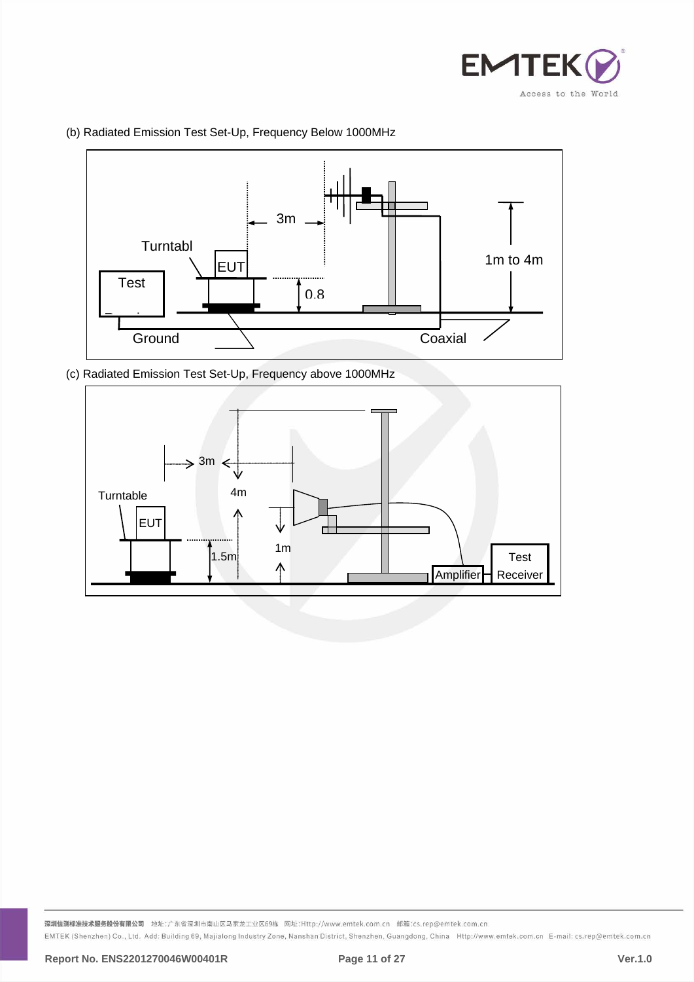



(b) Radiated Emission Test Set-Up, Frequency Below 1000MHz

(c) Radiated Emission Test Set-Up, Frequency above 1000MHz

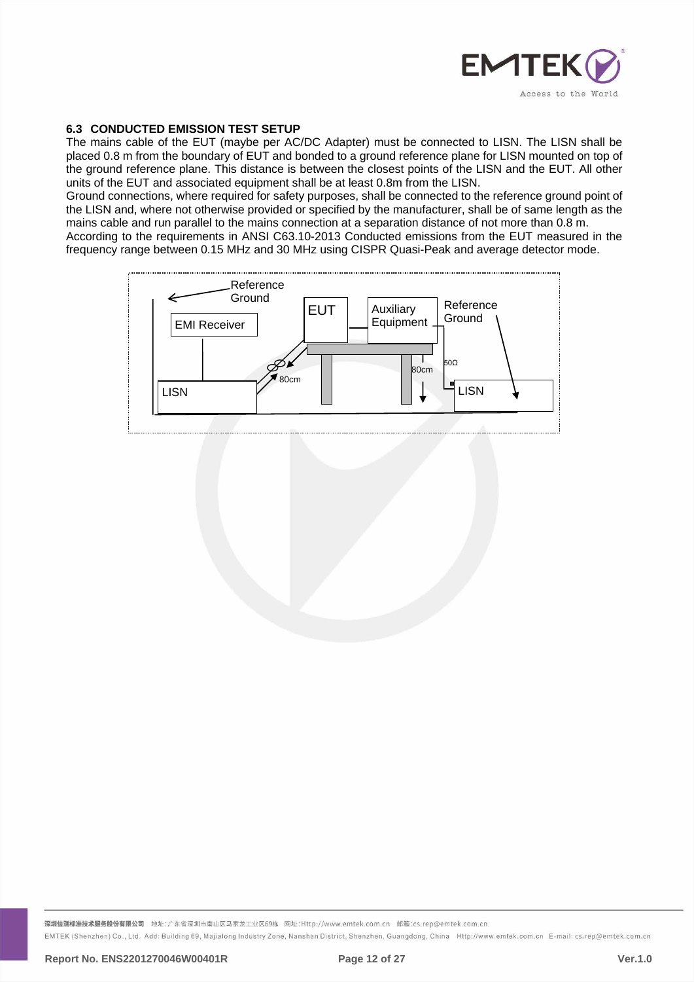

# <span id="page-11-0"></span>**6.3 CONDUCTED EMISSION TEST SETUP**

The mains cable of the EUT (maybe per AC/DC Adapter) must be connected to LISN. The LISN shall be placed 0.8 m from the boundary of EUT and bonded to a ground reference plane for LISN mounted on top of the ground reference plane. This distance is between the closest points of the LISN and the EUT. All other units of the EUT and associated equipment shall be at least 0.8m from the LISN.

Ground connections, where required for safety purposes, shall be connected to the reference ground point of the LISN and, where not otherwise provided or specified by the manufacturer, shall be of same length as the mains cable and run parallel to the mains connection at a separation distance of not more than 0.8 m.

According to the requirements in ANSI C63.10-2013 Conducted emissions from the EUT measured in the frequency range between 0.15 MHz and 30 MHz using CISPR Quasi-Peak and average detector mode.

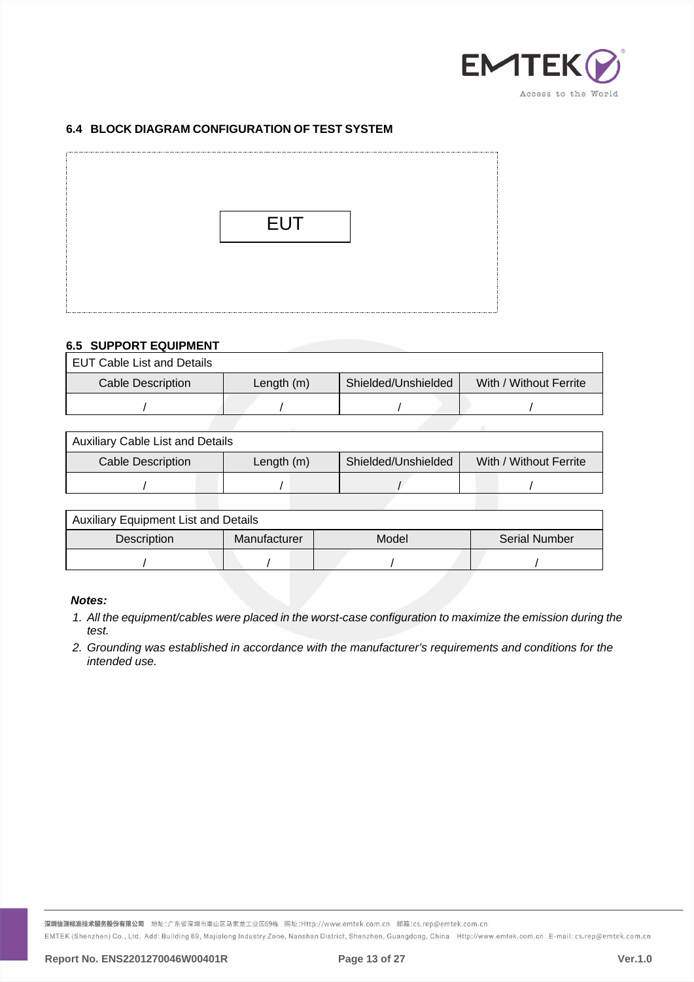

# <span id="page-12-0"></span>**6.4 BLOCK DIAGRAM CONFIGURATION OF TEST SYSTEM**



# <span id="page-12-1"></span>**6.5 SUPPORT EQUIPMENT**

EUT Cable List and Details

| Cable Description | Length $(m)$ | Shielded/Unshielded | With / Without Ferrite |
|-------------------|--------------|---------------------|------------------------|
|                   |              |                     |                        |

| <b>Auxiliary Cable List and Details</b>                                            |  |  |  |  |
|------------------------------------------------------------------------------------|--|--|--|--|
| Shielded/Unshielded<br>With / Without Ferrite<br>Cable Description<br>Length $(m)$ |  |  |  |  |
|                                                                                    |  |  |  |  |
|                                                                                    |  |  |  |  |

| <b>Auxiliary Equipment List and Details</b> |              |       |                      |  |
|---------------------------------------------|--------------|-------|----------------------|--|
| Description                                 | Manufacturer | Model | <b>Serial Number</b> |  |
|                                             |              |       |                      |  |

# *Notes:*

- *1. All the equipment/cables were placed in the worst-case configuration to maximize the emission during the test.*
- *2. Grounding was established in accordance with the manufacturer's requirements and conditions for the intended use.*

深圳信测标准技术服务股份有限公司 地址:广东省深圳市南山区马家龙工业区69栋 网址:Http://www.emtek.com.cn 邮箱:cs.rep@emtek.com.cn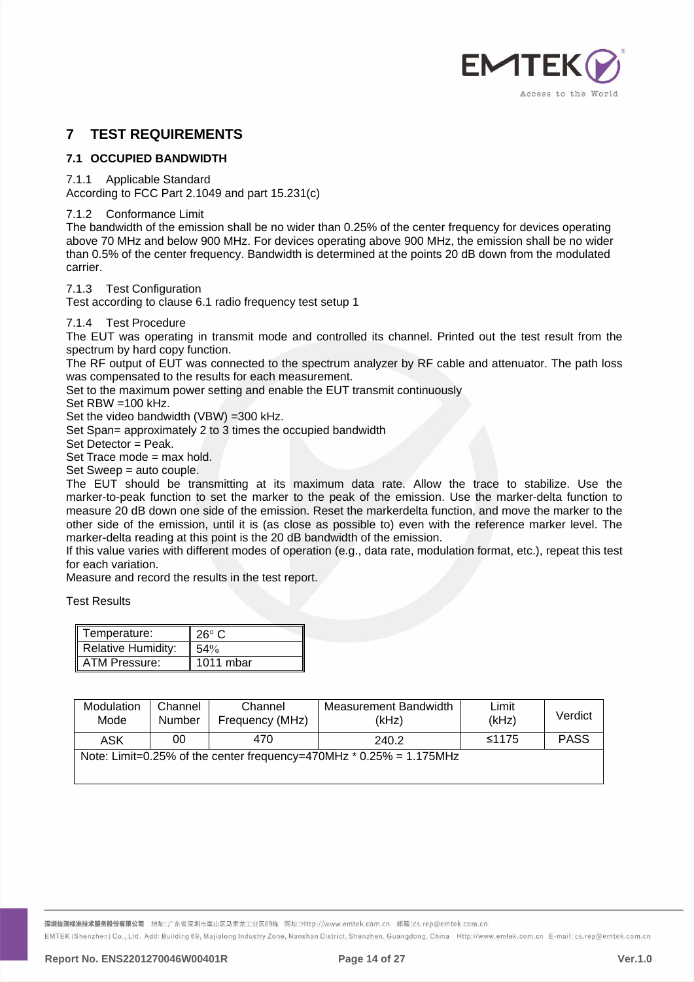

# <span id="page-13-0"></span>**7 TEST REQUIREMENTS**

# <span id="page-13-1"></span>**7.1 OCCUPIED BANDWIDTH**

7.1.1 Applicable Standard

According to FCC Part 2.1049 and part 15.231(c)

7.1.2 Conformance Limit

The bandwidth of the emission shall be no wider than 0.25% of the center frequency for devices operating above 70 MHz and below 900 MHz. For devices operating above 900 MHz, the emission shall be no wider than 0.5% of the center frequency. Bandwidth is determined at the points 20 dB down from the modulated carrier.

7.1.3 Test Configuration

Test according to clause 6.1 radio frequency test setup 1

#### 7.1.4 Test Procedure

The EUT was operating in transmit mode and controlled its channel. Printed out the test result from the spectrum by hard copy function.

The RF output of EUT was connected to the spectrum analyzer by RF cable and attenuator. The path loss was compensated to the results for each measurement.

Set to the maximum power setting and enable the EUT transmit continuously

Set RBW =100 kHz.

Set the video bandwidth (VBW) =300 kHz.

Set Span= approximately 2 to 3 times the occupied bandwidth

Set Detector = Peak.

Set Trace mode = max hold.

Set Sweep = auto couple.

The EUT should be transmitting at its maximum data rate. Allow the trace to stabilize. Use the marker-to-peak function to set the marker to the peak of the emission. Use the marker-delta function to measure 20 dB down one side of the emission. Reset the markerdelta function, and move the marker to the other side of the emission, until it is (as close as possible to) even with the reference marker level. The marker-delta reading at this point is the 20 dB bandwidth of the emission.

If this value varies with different modes of operation (e.g., data rate, modulation format, etc.), repeat this test for each variation.

Measure and record the results in the test report.

Test Results

| Temperature:              | $26^\circ$ C |
|---------------------------|--------------|
| <b>Relative Humidity:</b> | 54%          |
| ATM Pressure:             | 1011 mbar    |

| Modulation<br>Mode | Channel<br>Number | Channel<br>Frequency (MHz) | Measurement Bandwidth<br>(kHz)                                        | Limit<br>(kHz) | Verdict     |
|--------------------|-------------------|----------------------------|-----------------------------------------------------------------------|----------------|-------------|
| ASK                | 00                | 470                        | 240.2                                                                 | ≤1175          | <b>PASS</b> |
|                    |                   |                            | Note: Limit=0.25% of the center frequency=470MHz $*$ 0.25% = 1.175MHz |                |             |

<mark>深圳信测标准技术服务股份有限公司</mark> 地址:广东省深圳市南山区马家龙工业区69栋 网址:Http://www.emtek.com.cn 邮箱:cs.rep@emtek.com.cn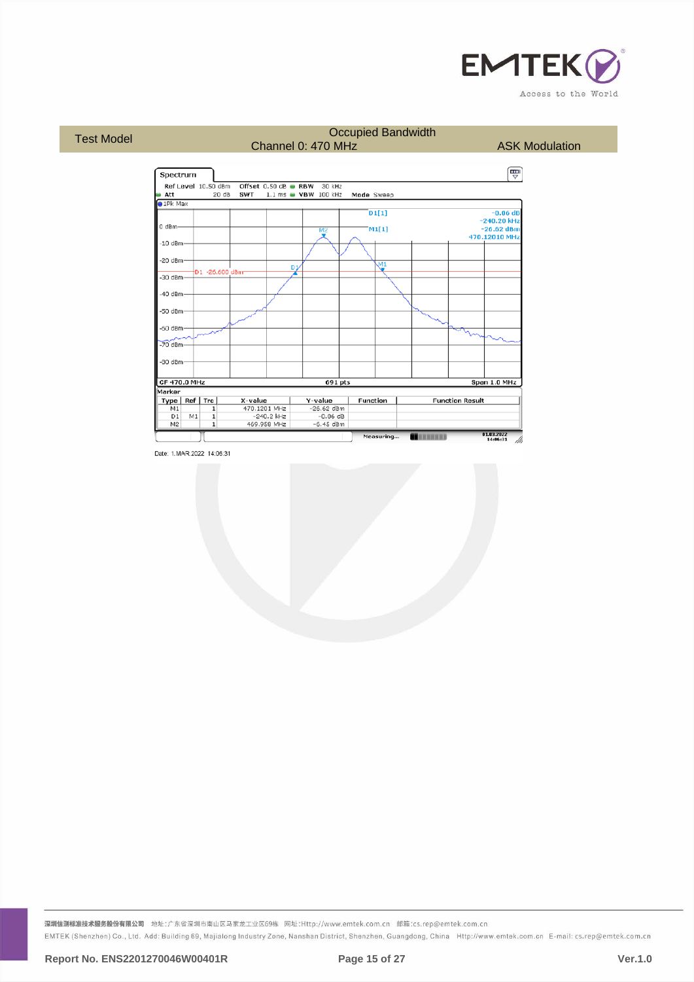



深圳信测标准技术服务股份有限公司 地址:广东省深圳市南山区马家龙工业区69栋 网址:Http://www.emtek.com.cn 邮箱:cs.rep@emtek.com.cn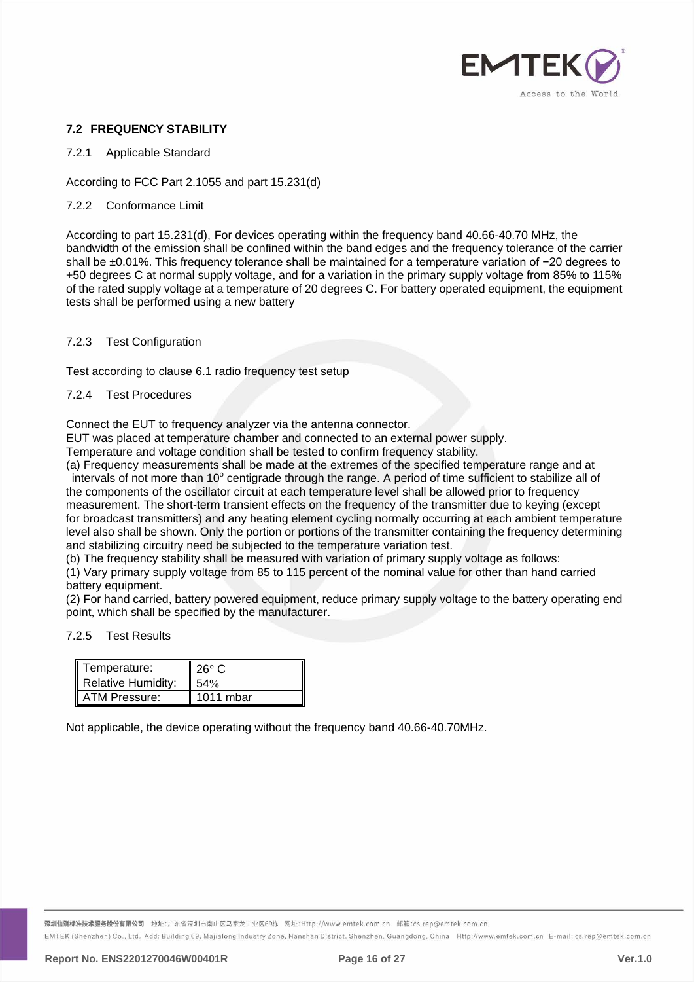

# <span id="page-15-0"></span>**7.2 FREQUENCY STABILITY**

#### 7.2.1 Applicable Standard

According to FCC Part 2.1055 and part 15.231(d)

#### 7.2.2 Conformance Limit

According to part 15.231(d), For devices operating within the frequency band 40.66-40.70 MHz, the bandwidth of the emission shall be confined within the band edges and the frequency tolerance of the carrier shall be ±0.01%. This frequency tolerance shall be maintained for a temperature variation of −20 degrees to +50 degrees C at normal supply voltage, and for a variation in the primary supply voltage from 85% to 115% of the rated supply voltage at a temperature of 20 degrees C. For battery operated equipment, the equipment tests shall be performed using a new battery

#### 7.2.3 Test Configuration

Test according to clause 6.1 radio frequency test setup

#### 7.2.4 Test Procedures

Connect the EUT to frequency analyzer via the antenna connector.

EUT was placed at temperature chamber and connected to an external power supply.

Temperature and voltage condition shall be tested to confirm frequency stability.

(a) Frequency measurements shall be made at the extremes of the specified temperature range and at intervals of not more than 10° centigrade through the range. A period of time sufficient to stabilize all of the components of the oscillator circuit at each temperature level shall be allowed prior to frequency measurement. The short-term transient effects on the frequency of the transmitter due to keying (except

for broadcast transmitters) and any heating element cycling normally occurring at each ambient temperature level also shall be shown. Only the portion or portions of the transmitter containing the frequency determining and stabilizing circuitry need be subjected to the temperature variation test.

(b) The frequency stability shall be measured with variation of primary supply voltage as follows:

(1) Vary primary supply voltage from 85 to 115 percent of the nominal value for other than hand carried battery equipment.

(2) For hand carried, battery powered equipment, reduce primary supply voltage to the battery operating end point, which shall be specified by the manufacturer.

#### 7.2.5 Test Results

| Temperature:              | $26^{\circ}$ C |
|---------------------------|----------------|
| <b>Relative Humidity:</b> | 54%            |
| ATM Pressure:             | 1011 mbar      |

Not applicable, the device operating without the frequency band 40.66-40.70MHz.

<mark>深圳信测标准技术服务股份有限公司</mark> 地址:广东省深圳市南山区马家龙工业区69栋 网址:Http://www.emtek.com.cn 邮箱:cs.rep@emtek.com.cn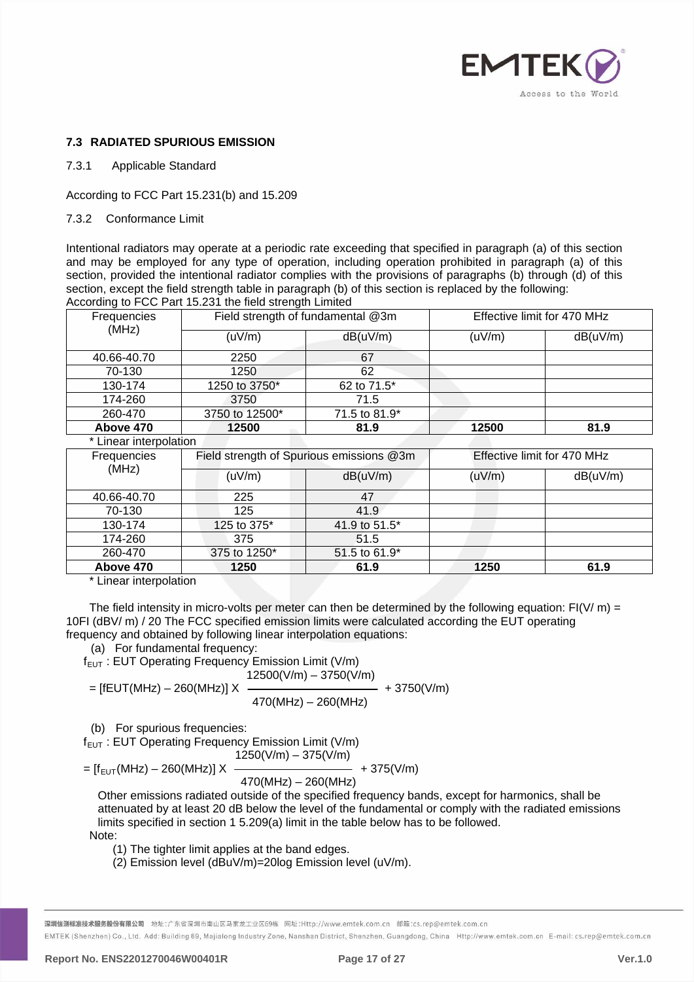

# <span id="page-16-0"></span>**7.3 RADIATED SPURIOUS EMISSION**

7.3.1 Applicable Standard

According to FCC Part 15.231(b) and 15.209

7.3.2 Conformance Limit

Intentional radiators may operate at a periodic rate exceeding that specified in paragraph (a) of this section and may be employed for any type of operation, including operation prohibited in paragraph (a) of this section, provided the intentional radiator complies with the provisions of paragraphs (b) through (d) of this section, except the field strength table in paragraph (b) of this section is replaced by the following: According to FCC Part 15.231 the field strength Limited

| Frequencies            |                | Field strength of fundamental @3m        |        | Effective limit for 470 MHz |  |
|------------------------|----------------|------------------------------------------|--------|-----------------------------|--|
| (MHz)                  | (uV/m)         | dB(uV/m)                                 | (uV/m) | dB(uV/m)                    |  |
| 40.66-40.70            | 2250           | 67                                       |        |                             |  |
| 70-130                 | 1250           | 62                                       |        |                             |  |
| 130-174                | 1250 to 3750*  | 62 to 71.5*                              |        |                             |  |
| 174-260                | 3750           | 71.5                                     |        |                             |  |
| 260-470                | 3750 to 12500* | 71.5 to 81.9*                            |        |                             |  |
| Above 470              | 12500          | 81.9                                     | 12500  | 81.9                        |  |
| * Linear interpolation |                |                                          |        |                             |  |
| Frequencies            |                | Field strength of Spurious emissions @3m |        | Effective limit for 470 MHz |  |
| (MHz)                  | (uV/m)         | dB(uV/m)                                 | (uV/m) | dB(uV/m)                    |  |
| 40.66-40.70            | 225            | 47                                       |        |                             |  |
| 70-130                 | 125            | 41.9                                     |        |                             |  |
| 130-174                | 125 to 375*    | 41.9 to 51.5*                            |        |                             |  |
| 174-260                | 375            | 51.5                                     |        |                             |  |
| 260-470                | 375 to 1250*   | 51.5 to 61.9*                            |        |                             |  |
| Above 470              | 1250           | 61.9                                     | 1250   | 61.9                        |  |

\* Linear interpolation

The field intensity in micro-volts per meter can then be determined by the following equation:  $F1(V/m) =$ 10FI (dBV/ m) / 20 The FCC specified emission limits were calculated according the EUT operating frequency and obtained by following linear interpolation equations:

(a) For fundamental frequency:

 $f_{EUT}$ : EUT Operating Frequency Emission Limit (V/m)  $12500(V/m) - 3750(V/m)$ 

= [fEUT(MHz) – 260(MHz)] X 
$$
\frac{1}{470(MHz) - 260(MHz)} + 3750(V/m)
$$

(b) For spurious frequencies:

 $f_{EUT}$ : EUT Operating Frequency Emission Limit (V/m)  $1250(V/m) - 375(V/m)$ 

$$
= [f_{EUT}(MHz) - 260(MHz)] \times \frac{170(MHz)}{470(MHz)} + 375(V/m)
$$

 $470(MHz) - 260(MHz)$ 

Other emissions radiated outside of the specified frequency bands, except for harmonics, shall be attenuated by at least 20 dB below the level of the fundamental or comply with the radiated emissions limits specified in section 1 5.209(a) limit in the table below has to be followed.

Note:

(1) The tighter limit applies at the band edges.

(2) Emission level (dBuV/m)=20log Emission level (uV/m).

<mark>深圳信测标准技术服务股份有限公司</mark> 地址:广东省深圳市南山区马家龙工业区69栋 网址:Http://www.emtek.com.cn 邮箱:cs.rep@emtek.com.cn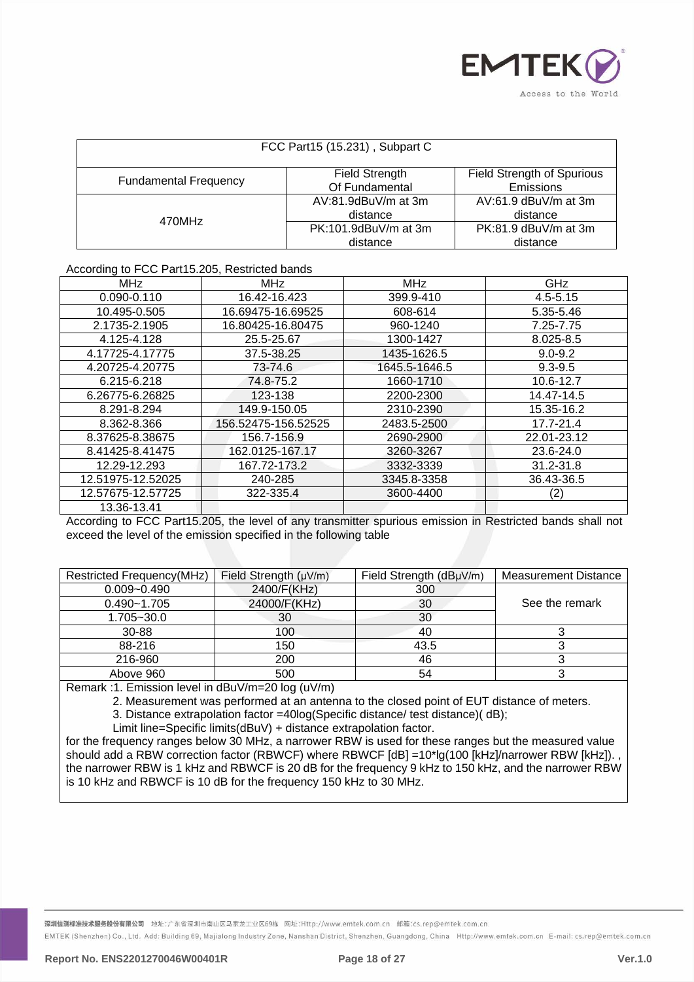

| FCC Part15 (15.231), Subpart C                                                                                     |                                  |                                    |  |  |
|--------------------------------------------------------------------------------------------------------------------|----------------------------------|------------------------------------|--|--|
| <b>Field Strength of Spurious</b><br>Field Strength<br><b>Fundamental Frequency</b><br>Of Fundamental<br>Emissions |                                  |                                    |  |  |
| 470MHz                                                                                                             | AV:81.9dBuV/m at 3m<br>distance  | $AV:61.9$ dBuV/m at 3m<br>distance |  |  |
|                                                                                                                    | PK:101.9dBuV/m at 3m<br>distance | $PK:81.9$ dBuV/m at 3m<br>distance |  |  |

#### According to FCC Part15.205, Restricted bands

| <b>MHz</b>        | <b>MHz</b>          | <b>MHz</b>    | GHz          |
|-------------------|---------------------|---------------|--------------|
| 0.090-0.110       | 16.42-16.423        | 399.9-410     | $4.5 - 5.15$ |
| 10.495-0.505      | 16.69475-16.69525   | 608-614       | 5.35-5.46    |
| 2.1735-2.1905     | 16.80425-16.80475   | 960-1240      | 7.25-7.75    |
| 4.125-4.128       | 25.5-25.67          | 1300-1427     | 8.025-8.5    |
| 4.17725-4.17775   | 37.5-38.25          | 1435-1626.5   | $9.0 - 9.2$  |
| 4.20725-4.20775   | 73-74.6             | 1645.5-1646.5 | $9.3 - 9.5$  |
| 6.215-6.218       | 74.8-75.2           | 1660-1710     | 10.6-12.7    |
| 6.26775-6.26825   | 123-138             | 2200-2300     | 14.47-14.5   |
| 8.291-8.294       | 149.9-150.05        | 2310-2390     | 15.35-16.2   |
| 8.362-8.366       | 156.52475-156.52525 | 2483.5-2500   | 17.7-21.4    |
| 8.37625-8.38675   | 156.7-156.9         | 2690-2900     | 22.01-23.12  |
| 8.41425-8.41475   | 162.0125-167.17     | 3260-3267     | 23.6-24.0    |
| 12.29-12.293      | 167.72-173.2        | 3332-3339     | 31.2-31.8    |
| 12.51975-12.52025 | 240-285             | 3345.8-3358   | 36.43-36.5   |
| 12.57675-12.57725 | 322-335.4           | 3600-4400     | (2)          |
| 13.36-13.41       |                     |               |              |

According to FCC Part15.205, the level of any transmitter spurious emission in Restricted bands shall not exceed the level of the emission specified in the following table

| Restricted Frequency(MHz)<br>Field Strength $(\mu V/m)$ |              | Field Strength (dBµV/m) | <b>Measurement Distance</b> |
|---------------------------------------------------------|--------------|-------------------------|-----------------------------|
| $0.009 - 0.490$                                         | 2400/F(KHz)  | 300                     |                             |
| $0.490 - 1.705$                                         | 24000/F(KHz) | 30                      | See the remark              |
| 1.705~30.0                                              | 30           | 30                      |                             |
| 30-88                                                   | 100          | 40                      |                             |
| 88-216                                                  | 150          | 43.5                    |                             |
| 216-960                                                 | 200          | 46                      |                             |
| Above 960                                               | 500          | 54                      |                             |

Remark :1. Emission level in dBuV/m=20 log (uV/m)

2. Measurement was performed at an antenna to the closed point of EUT distance of meters.

3. Distance extrapolation factor =40log(Specific distance/ test distance)( dB);

Limit line=Specific limits(dBuV) + distance extrapolation factor.

for the frequency ranges below 30 MHz, a narrower RBW is used for these ranges but the measured value should add a RBW correction factor (RBWCF) where RBWCF [dB] =10\*lg(100 [kHz]/narrower RBW [kHz])., the narrower RBW is 1 kHz and RBWCF is 20 dB for the frequency 9 kHz to 150 kHz, and the narrower RBW is 10 kHz and RBWCF is 10 dB for the frequency 150 kHz to 30 MHz.

<mark>深圳信测标准技术服务股份有限公司</mark> 地址:广东省深圳市南山区马家龙工业区69栋 网址:Http://www.emtek.com.cn 邮箱:cs.rep@emtek.com.cn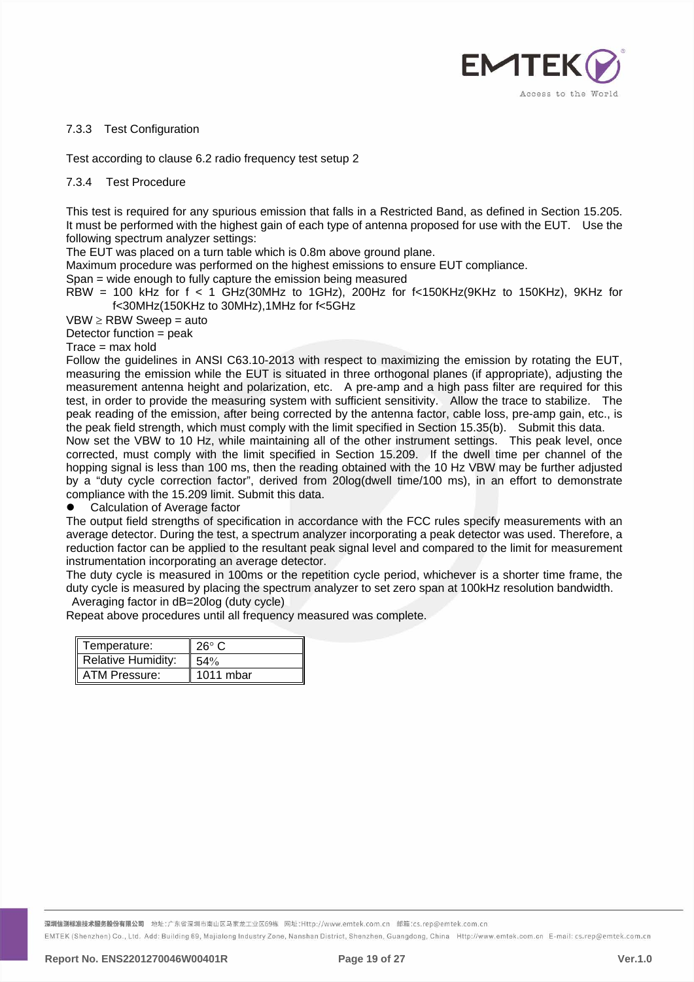

## 7.3.3 Test Configuration

Test according to clause 6.2 radio frequency test setup 2

#### 7.3.4 Test Procedure

This test is required for any spurious emission that falls in a Restricted Band, as defined in Section 15.205. It must be performed with the highest gain of each type of antenna proposed for use with the EUT. Use the following spectrum analyzer settings:

The EUT was placed on a turn table which is 0.8m above ground plane.

Maximum procedure was performed on the highest emissions to ensure EUT compliance.

Span = wide enough to fully capture the emission being measured

RBW = 100 kHz for  $f < 1$  GHz(30MHz to 1GHz), 200Hz for f<150KHz(9KHz to 150KHz), 9KHz for f<30MHz(150KHz to 30MHz),1MHz for f<5GHz

 $VBW \geq RBW$  Sweep = auto

Detector function = peak

 $Trace = max$  hold

Follow the guidelines in ANSI C63.10-2013 with respect to maximizing the emission by rotating the EUT, measuring the emission while the EUT is situated in three orthogonal planes (if appropriate), adjusting the measurement antenna height and polarization, etc. A pre-amp and a high pass filter are required for this test, in order to provide the measuring system with sufficient sensitivity. Allow the trace to stabilize. The peak reading of the emission, after being corrected by the antenna factor, cable loss, pre-amp gain, etc., is the peak field strength, which must comply with the limit specified in Section 15.35(b). Submit this data. Now set the VBW to 10 Hz, while maintaining all of the other instrument settings. This peak level, once corrected, must comply with the limit specified in Section 15.209. If the dwell time per channel of the hopping signal is less than 100 ms, then the reading obtained with the 10 Hz VBW may be further adjusted by a "duty cycle correction factor", derived from 20log(dwell time/100 ms), in an effort to demonstrate

compliance with the 15.209 limit. Submit this data.

Calculation of Average factor

The output field strengths of specification in accordance with the FCC rules specify measurements with an average detector. During the test, a spectrum analyzer incorporating a peak detector was used. Therefore, a reduction factor can be applied to the resultant peak signal level and compared to the limit for measurement instrumentation incorporating an average detector.

The duty cycle is measured in 100ms or the repetition cycle period, whichever is a shorter time frame, the duty cycle is measured by placing the spectrum analyzer to set zero span at 100kHz resolution bandwidth.

Averaging factor in dB=20log (duty cycle)

Repeat above procedures until all frequency measured was complete.

| Temperature:              | $26^{\circ}$ C |
|---------------------------|----------------|
| <b>Relative Humidity:</b> | 54%            |
| ATM Pressure:             | $1011$ mbar    |

<mark>深圳信测标准技术服务股份有限公司</mark> 地址:广东省深圳市南山区马家龙工业区69栋 网址:Http://www.emtek.com.cn 邮箱:cs.rep@emtek.com.cn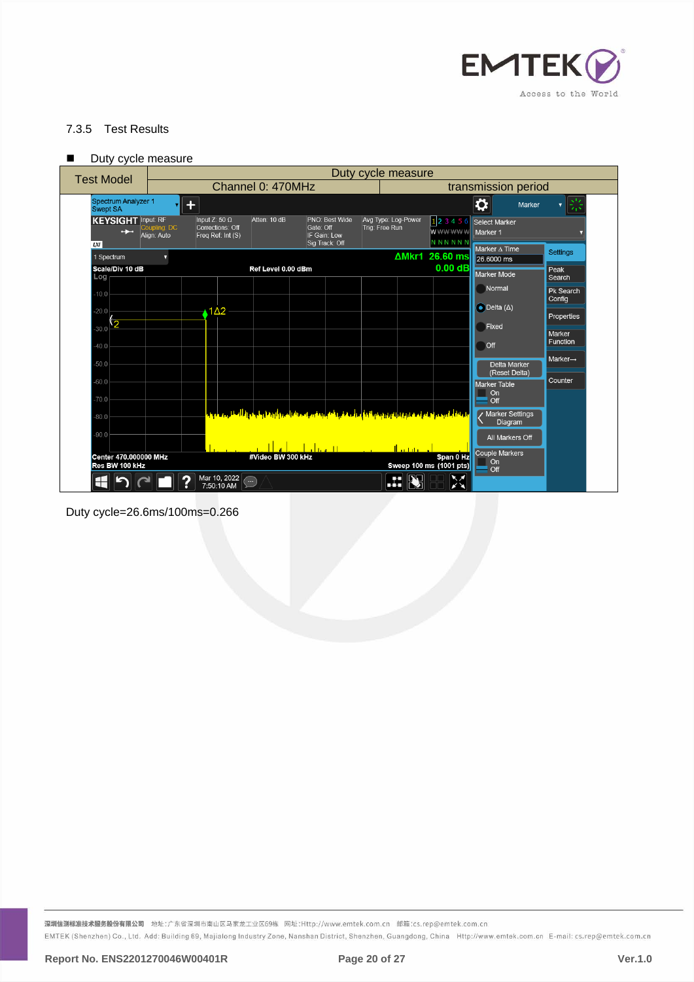

# 7.3.5 Test Results

| Duty cycle measure |  |
|--------------------|--|
|--------------------|--|

| <b>Test Model</b>                                 |                                                     |                                                                                                                   |                                                               |                                       |                                                   |                                      |                              |  |
|---------------------------------------------------|-----------------------------------------------------|-------------------------------------------------------------------------------------------------------------------|---------------------------------------------------------------|---------------------------------------|---------------------------------------------------|--------------------------------------|------------------------------|--|
|                                                   |                                                     | Channel 0: 470MHz                                                                                                 |                                                               |                                       | transmission period                               |                                      |                              |  |
| Spectrum Analyzer 1<br><b>Swept SA</b>            | $\ddot{}$                                           |                                                                                                                   |                                                               |                                       |                                                   | ☆<br>Marker                          | 崇<br>$\overline{\mathbf{v}}$ |  |
| <b>KEYSIGHT</b> Input: RF<br>$\rightarrow$<br>LMI | Input Z: $50 \Omega$<br>Coupling: DC<br>Align: Auto | Atten: 10 dB<br>Corrections: Off<br>Freq Ref: Int (S)                                                             | PNO: Best Wide<br>Gate: Off<br>IF Gain: Low<br>Sig Track: Off | Avg Type: Log-Power<br>Trig: Free Run | $1$   2 3 4 5 6<br><b>WWWWWW</b><br><b>NNNNNN</b> | Select Marker<br>Marker 1            |                              |  |
| 1 Spectrum                                        | Ω                                                   |                                                                                                                   |                                                               |                                       | ΔMkr1 26.60 ms                                    | Marker A Time<br>26,6000 ms          | <b>Settings</b>              |  |
| Scale/Div 10 dB<br>Log                            |                                                     | Ref Level 0.00 dBm                                                                                                |                                                               |                                       | $0.00$ dB                                         | Marker Mode                          | Peak<br>Search               |  |
| $-10.0$                                           |                                                     |                                                                                                                   |                                                               |                                       |                                                   | Normal                               | <b>Pk Search</b>             |  |
| $-20.0$                                           | $1\Delta2$                                          |                                                                                                                   |                                                               |                                       |                                                   | $\bullet$ Delta ( $\Delta$ )         | Config                       |  |
| 30.0 2                                            |                                                     |                                                                                                                   |                                                               |                                       |                                                   | Fixed                                | Properties                   |  |
| $-40.0$                                           |                                                     |                                                                                                                   |                                                               |                                       |                                                   | Off                                  | Marker<br>Function           |  |
|                                                   |                                                     |                                                                                                                   |                                                               |                                       |                                                   |                                      | Marker $\rightarrow$         |  |
| $-50.0$                                           |                                                     |                                                                                                                   |                                                               |                                       |                                                   | <b>Delta Marker</b><br>(Reset Delta) |                              |  |
| $-60.0$                                           |                                                     |                                                                                                                   |                                                               |                                       |                                                   | <b>Marker Table</b><br>On            | Counter                      |  |
| 70.0                                              |                                                     |                                                                                                                   |                                                               |                                       |                                                   | Off                                  |                              |  |
| $-80.0$                                           |                                                     | والمستقلة الموجوع أصاقع تعترف والتواريخ فواقفه أعمل متقررة أكبارته امترادها فالمربز ألزرقنا والحوال العقلي معملوق |                                                               |                                       |                                                   | / Marker Settings<br>Diagram         |                              |  |
| $-90.0$                                           |                                                     |                                                                                                                   |                                                               |                                       |                                                   | All Markers Off                      |                              |  |
| Center 470,000000 MHz<br>Res BW 100 kHz           |                                                     | #Video BW 300 kHz                                                                                                 | تللس أبر                                                      | tha mark                              | Span 0 Hz<br>Sweep 100 ms (1001 pts)              | Couple Markers<br>On<br>Off          |                              |  |
|                                                   |                                                     | Mar 10, 2022<br>$\bigcirc$<br>7:50:10 AM                                                                          |                                                               | œ<br>IL J                             | $\blacktriangleright$                             |                                      |                              |  |

Duty cycle=26.6ms/100ms=0.266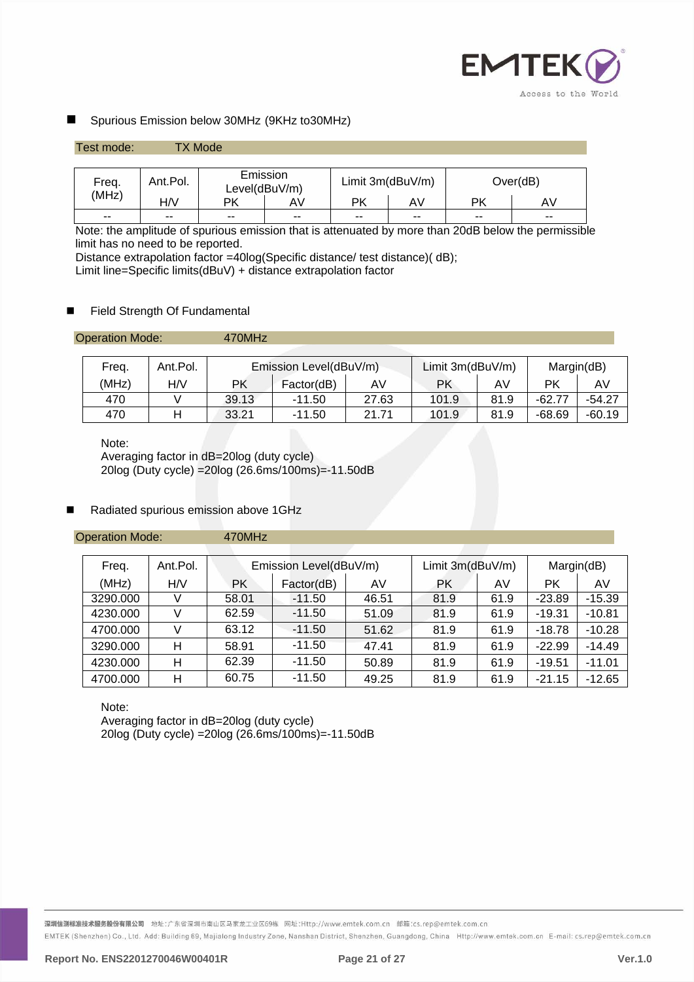

# Spurious Emission below 30MHz (9KHz to30MHz)

| Test mode: |          | <b>TX Mode</b> |                           |                  |               |           |          |
|------------|----------|----------------|---------------------------|------------------|---------------|-----------|----------|
|            |          |                |                           |                  |               |           |          |
| Freq.      | Ant.Pol. |                | Emission<br>Level(dBuV/m) | Limit 3m(dBuV/m) |               |           | Over(dB) |
| (MHz)      | H/V      | РK             | AV                        | <b>PK</b>        | AV            | <b>PK</b> | AV.      |
| $- -$      | $- -$    | $- -$          | $\sim$ $\sim$             | $- -$            | $\sim$ $\sim$ | $-$       | $- -$    |

Note: the amplitude of spurious emission that is attenuated by more than 20dB below the permissible limit has no need to be reported.

Distance extrapolation factor =40log(Specific distance/ test distance)( dB);

Limit line=Specific limits(dBuV) + distance extrapolation factor

# Field Strength Of Fundamental

| <b>Operation Mode:</b> | 470MHz |
|------------------------|--------|
|------------------------|--------|

| Freq. | Ant.Pol. | Emission Level(dBuV/m) |            |       | Limit $3m$ (dBuV/m) |      | Margin(dB) |          |
|-------|----------|------------------------|------------|-------|---------------------|------|------------|----------|
| (MHz) | H/V      | РK                     | Factor(dB) | AV    | РK                  | AV.  | РK         | AV.      |
| 470   |          | 39.13                  | $-11.50$   | 27.63 | 101.9               | 81.9 | $-62.77$   | $-54.27$ |
| 470   |          | 33.21                  | -11.50     | 21.71 | 101.9               | 81.9 | $-68.69$   | $-60.19$ |

Note:

Averaging factor in dB=20log (duty cycle) 20log (Duty cycle) =20log (26.6ms/100ms)=-11.50dB

# Radiated spurious emission above 1GHz

Operation Mode: 470MHz

| Freq.    | Ant.Pol. | Emission Level(dBuV/m) |            |       | Limit $3m$ (dBuV/m) |      | Margin(dB) |          |
|----------|----------|------------------------|------------|-------|---------------------|------|------------|----------|
| (MHz)    | H/V      | <b>PK</b>              | Factor(dB) | AV    | РK                  | AV   | РK         | AV       |
| 3290.000 |          | 58.01                  | $-11.50$   | 46.51 | 81.9                | 61.9 | $-23.89$   | $-15.39$ |
| 4230.000 |          | 62.59                  | $-11.50$   | 51.09 | 81.9                | 61.9 | $-19.31$   | $-10.81$ |
| 4700.000 |          | 63.12                  | $-11.50$   | 51.62 | 81.9                | 61.9 | $-18.78$   | $-10.28$ |
| 3290.000 | н        | 58.91                  | $-11.50$   | 47.41 | 81.9                | 61.9 | $-22.99$   | $-14.49$ |
| 4230.000 | н        | 62.39                  | $-11.50$   | 50.89 | 81.9                | 61.9 | $-19.51$   | $-11.01$ |
| 4700.000 | Н        | 60.75                  | $-11.50$   | 49.25 | 81.9                | 61.9 | $-21.15$   | $-12.65$ |

Note:

Averaging factor in dB=20log (duty cycle) 20log (Duty cycle) =20log (26.6ms/100ms)=-11.50dB

深圳信测标准技术服务股份有限公司 地址:广东省深圳市南山区马家龙工业区69栋 网址:Http://www.emtek.com.cn 邮箱:cs.rep@emtek.com.cn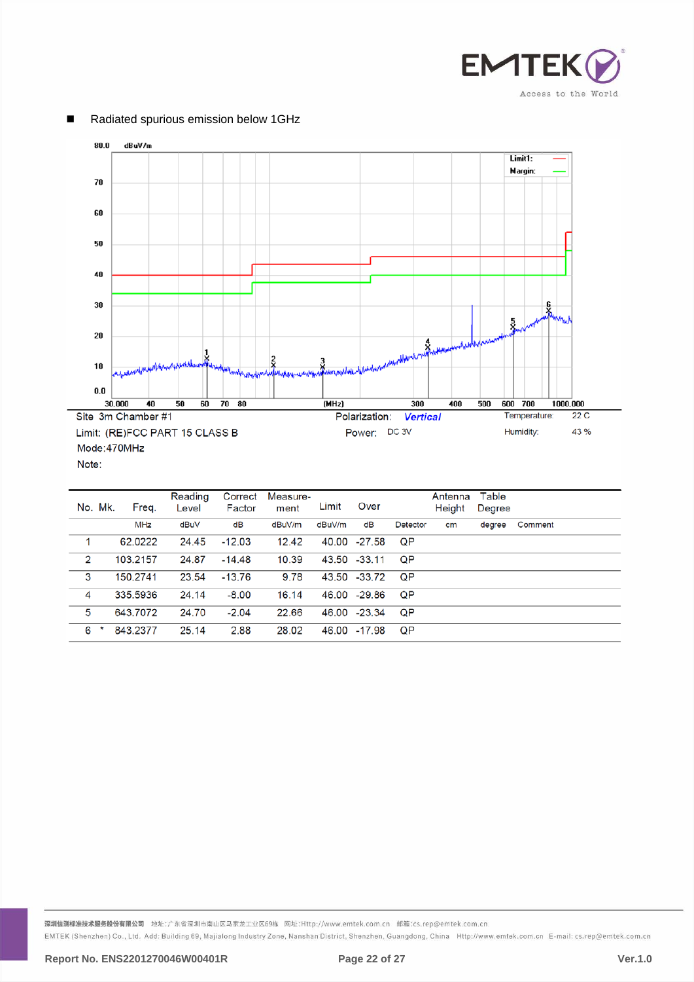



# Radiated spurious emission below 1GHz

| No. Mk. | Freg.      | Reading<br>Level | Correct<br>Factor | Measure-<br>ment | Limit  | Over         |           | Antenna<br>Height | Table<br>Degree |         |
|---------|------------|------------------|-------------------|------------------|--------|--------------|-----------|-------------------|-----------------|---------|
|         | <b>MHz</b> | dBuV             | dB                | dBuV/m           | dBuV/m | dB           | Detector  | cm                | degree          | Comment |
|         | 62.0222    | 24.45            | $-12.03$          | 12.42            |        | 40.00 -27.58 | QP        |                   |                 |         |
| 2       | 103.2157   | 24.87            | $-14.48$          | 10.39            |        | 43.50 -33.11 | <b>QP</b> |                   |                 |         |
| 3       | 150.2741   | 23.54            | $-13.76$          | 9.78             |        | 43.50 -33.72 | ΟP        |                   |                 |         |
| 4       | 335.5936   | 24.14            | $-8.00$           | 16.14            |        | 46.00 -29.86 | <b>QP</b> |                   |                 |         |
| 5       | 643.7072   | 24.70            | $-2.04$           | 22.66            |        | 46.00 -23.34 | QP        |                   |                 |         |
| 6       | 843.2377   | 25.14            | 2.88              | 28.02            |        | 46.00 -17.98 | <b>QP</b> |                   |                 |         |

深圳信测标准技术服务股份有限公司 地址:广东省深圳市南山区马家龙工业区69栋 网址:Http://www.emtek.com.cn 邮箱:cs.rep@emtek.com.cn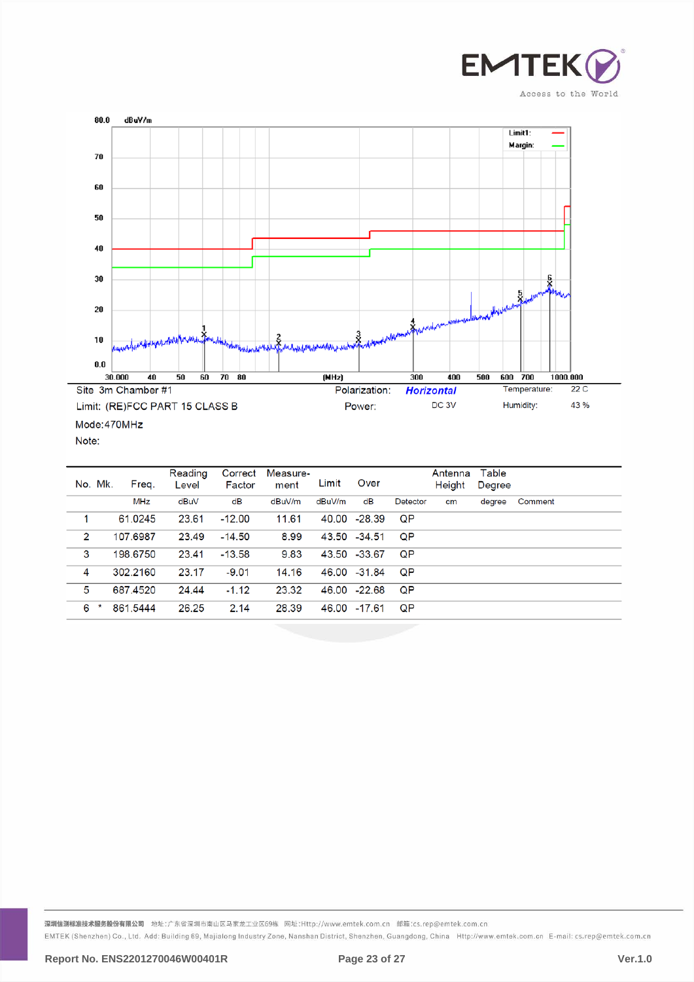



Note:

| No. Mk.        | Freq.      | Reading<br>Level | Correct<br>Factor | Measure-<br>ment | Limit  | Over     |          | Antenna<br>Height | Table<br>Degree |         |
|----------------|------------|------------------|-------------------|------------------|--------|----------|----------|-------------------|-----------------|---------|
|                | <b>MHz</b> | dBuV             | dB                | dBuV/m           | dBuV/m | dB       | Detector | cm                | degree          | Comment |
|                | 61.0245    | 23.61            | $-12.00$          | 11.61            | 40.00  | $-28.39$ | QP       |                   |                 |         |
| $\overline{2}$ | 107.6987   | 23.49            | $-14.50$          | 8.99             | 43.50  | -34.51   | QP       |                   |                 |         |
| 3              | 198,6750   | 23.41            | $-13.58$          | 9.83             | 43.50  | -33.67   | QP       |                   |                 |         |
| 4              | 302.2160   | 23.17            | $-9.01$           | 14.16            | 46.00  | -31.84   | QP       |                   |                 |         |
| 5              | 687.4520   | 24.44            | $-1.12$           | 23.32            | 46.00  | -22.68   | QP       |                   |                 |         |
| 6              | 861.5444   | 26.25            | 2.14              | 28.39            | 46.00  | -17.61   | QP       |                   |                 |         |

深圳信测标准技术服务股份有限公司 地址:广东省深圳市南山区马家龙工业区69栋 网址:Http://www.emtek.com.cn 邮箱:cs.rep@emtek.com.cn EMTEK (Shenzhen) Co., Ltd. Add: Building 69, Majialong Industry Zone, Nanshan District, Shenzhen, Guangdong, China Http://www.emtek.com.cn E-mail: cs.rep@emtek.com.cn

**Report No. ENS2201270046W00401R Page 23 of 27 Ver.1.0**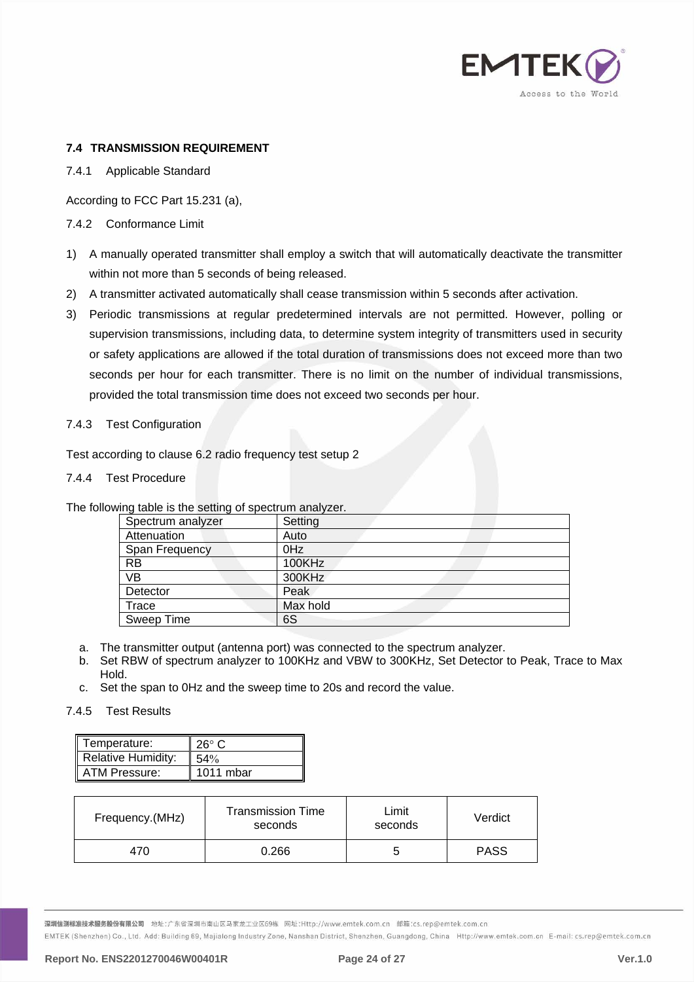

# <span id="page-23-0"></span>**7.4 TRANSMISSION REQUIREMENT**

## 7.4.1 Applicable Standard

According to FCC Part 15.231 (a),

# 7.4.2 Conformance Limit

- 1) A manually operated transmitter shall employ a switch that will automatically deactivate the transmitter within not more than 5 seconds of being released.
- 2) A transmitter activated automatically shall cease transmission within 5 seconds after activation.
- 3) Periodic transmissions at regular predetermined intervals are not permitted. However, polling or supervision transmissions, including data, to determine system integrity of transmitters used in security or safety applications are allowed if the total duration of transmissions does not exceed more than two seconds per hour for each transmitter. There is no limit on the number of individual transmissions, provided the total transmission time does not exceed two seconds per hour.

# 7.4.3 Test Configuration

Test according to clause 6.2 radio frequency test setup 2

#### 7.4.4 Test Procedure

The following table is the setting of spectrum analyzer.

| ີ                 |                 |
|-------------------|-----------------|
| Spectrum analyzer | Setting         |
| Attenuation       | Auto            |
| Span Frequency    | 0 <sub>Hz</sub> |
| <b>RB</b>         | 100KHz          |
| <b>VB</b>         | 300KHz          |
| Detector          | Peak            |
| Trace             | Max hold        |
| Sweep Time        | 6S              |

- a. The transmitter output (antenna port) was connected to the spectrum analyzer.
- b. Set RBW of spectrum analyzer to 100KHz and VBW to 300KHz, Set Detector to Peak, Trace to Max Hold.
- c. Set the span to 0Hz and the sweep time to 20s and record the value.

# 7.4.5 Test Results

| Temperature:              | $26^\circ$ C |
|---------------------------|--------------|
| <b>Relative Humidity:</b> | $54\%$       |
| ATM Pressure:             | $1011$ mbar  |

| Frequency.(MHz) | <b>Transmission Time</b><br>seconds | Limit<br>seconds | Verdict     |
|-----------------|-------------------------------------|------------------|-------------|
| 470             | 0.266                               | G                | <b>PASS</b> |

<mark>深圳信测标准技术服务股份有限公司</mark> 地址:广东省深圳市南山区马家龙工业区69栋 网址:Http://www.emtek.com.cn 邮箱:cs.rep@emtek.com.cn

EMTEK (Shenzhen) Co., Ltd. Add: Building 69, Majialong Industry Zone, Nanshan District, Shenzhen, Guangdong, China Http://www.emtek.com.cn E-mail: cs.rep@emtek.com.cn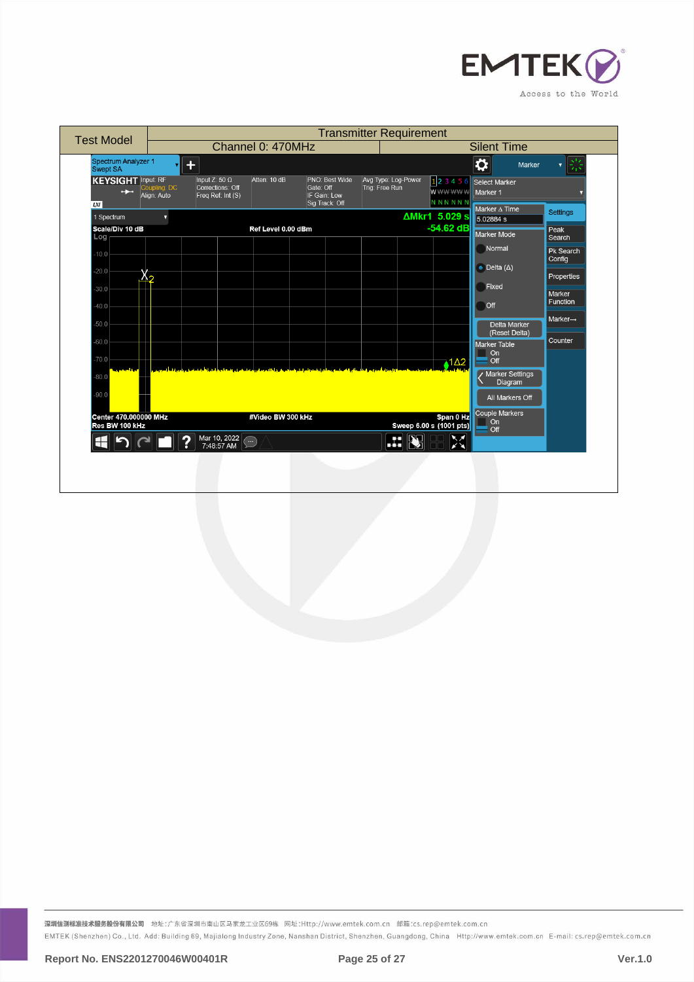

| <b>Test Model</b>                                                                                                    | <b>Transmitter Requirement</b>                                                |                                                               |                                       |                                      |                                                                                                                                                                            |                                                                                                              |
|----------------------------------------------------------------------------------------------------------------------|-------------------------------------------------------------------------------|---------------------------------------------------------------|---------------------------------------|--------------------------------------|----------------------------------------------------------------------------------------------------------------------------------------------------------------------------|--------------------------------------------------------------------------------------------------------------|
|                                                                                                                      | Channel 0: 470MHz                                                             |                                                               |                                       |                                      | <b>Silent Time</b>                                                                                                                                                         |                                                                                                              |
| Spectrum Analyzer 1<br>Swept SA                                                                                      | $+$                                                                           |                                                               |                                       |                                      | $\overline{\mathbf{Q}}$<br>Marker                                                                                                                                          | 崇<br>$\overline{\mathbf{v}}$                                                                                 |
| <b>KEYSIGHT</b> Input: RF<br>Coupling: DC<br>$\rightarrow$<br>Align: Auto<br><b>LXI</b>                              | Input Z: 50 $\Omega$<br>Atten: 10 dB<br>Corrections: Off<br>Freq Ref: Int (S) | PNO: Best Wide<br>Gate: Off<br>IF Gain: Low<br>Sig Track: Off | Avg Type: Log-Power<br>Trig: Free Run | 123456<br>wwwww<br><b>NNNNNN</b>     | Select Marker<br>Marker 1<br>Marker A Time                                                                                                                                 |                                                                                                              |
| 1 Spectrum<br>7                                                                                                      |                                                                               |                                                               |                                       | AMkr1 5.029 s                        | 5.02884 s                                                                                                                                                                  | <b>Settings</b>                                                                                              |
| Scale/Div 10 dB<br>Log<br>$-10.0$<br>$-20.0$<br>ハっ<br>$-30.0$<br>$-40.0$<br>$-50.0$<br>$-60.0$<br>$-70.0$<br>$-80.0$ | Ref Level 0.00 dBm                                                            |                                                               |                                       | $-54.62$ dB<br>$1\Delta2$            | Marker Mode<br>Normal<br>$\bullet$ Delta ( $\Delta$ )<br>Fixed<br>Off<br>Delta Marker<br>(Reset Delta)<br><b>Marker Table</b><br>On<br>Off<br>/ Marker Settings<br>Diagram | Peak<br>Search<br>Pk Search<br>Config<br>Properties<br>Marker<br>Function<br>$Market \rightarrow$<br>Counter |
| $-90.0$<br>Center 470.000000 MHz<br>Res BW 100 kHz                                                                   | #Video BW 300 kHz                                                             |                                                               |                                       | Span 0 Hz<br>Sweep 6.00 s (1001 pts) | All Markers Off<br>Couple Markers<br>On<br>Off                                                                                                                             |                                                                                                              |
|                                                                                                                      | Mar 10, 2022<br>7:48:57 AM<br>2<br>$\bigodot$                                 |                                                               | Æ                                     | $\sum_{k=1}^{N}$                     |                                                                                                                                                                            |                                                                                                              |
|                                                                                                                      |                                                                               |                                                               |                                       |                                      |                                                                                                                                                                            |                                                                                                              |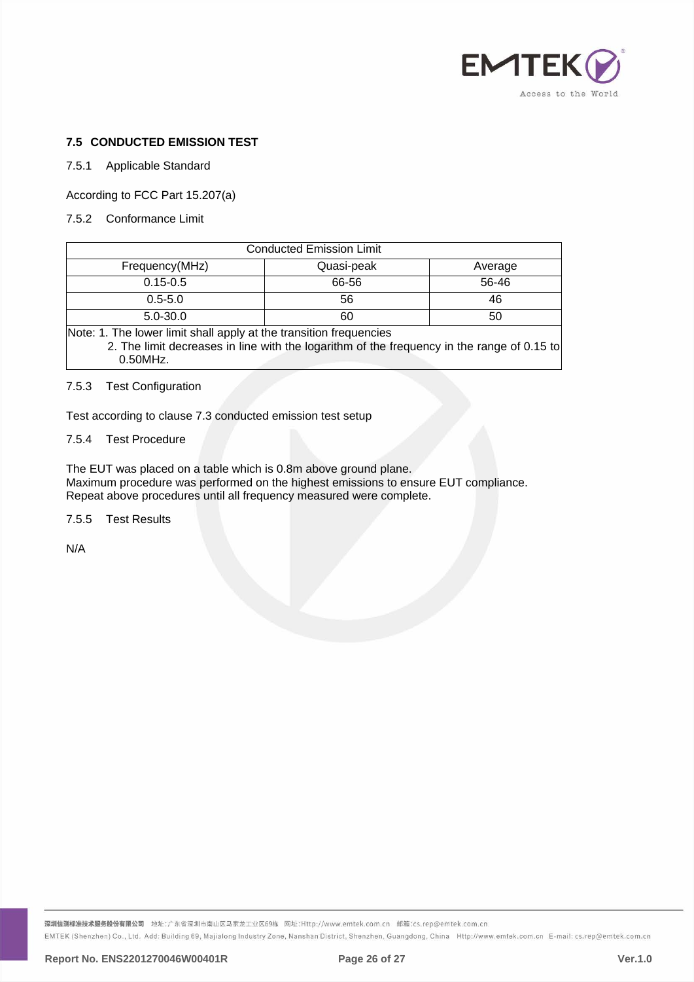

## <span id="page-25-0"></span>**7.5 CONDUCTED EMISSION TEST**

#### 7.5.1 Applicable Standard

According to FCC Part 15.207(a)

7.5.2 Conformance Limit

| <b>Conducted Emission Limit</b> |            |         |  |  |  |
|---------------------------------|------------|---------|--|--|--|
| Frequency(MHz)                  | Quasi-peak | Average |  |  |  |
| $0.15 - 0.5$                    | 66-56      | 56-46   |  |  |  |
| $0.5 - 5.0$                     | 56         | 46      |  |  |  |
| $5.0 - 30.0$                    | 60         | 50      |  |  |  |
| .<br>.<br>$\cdots$<br>$-1$      |            |         |  |  |  |

Note: 1. The lower limit shall apply at the transition frequencies 2. The limit decreases in line with the logarithm of the frequency in the range of 0.15 to 0.50MHz.

#### 7.5.3 Test Configuration

Test according to clause 7.3 conducted emission test setup

## 7.5.4 Test Procedure

The EUT was placed on a table which is 0.8m above ground plane. Maximum procedure was performed on the highest emissions to ensure EUT compliance. Repeat above procedures until all frequency measured were complete.

7.5.5 Test Results

N/A

<mark>深圳信测标准技术服务股份有限公司</mark> 地址:广东省深圳市南山区马家龙工业区69栋 网址:Http://www.emtek.com.cn 邮箱:cs.rep@emtek.com.cn